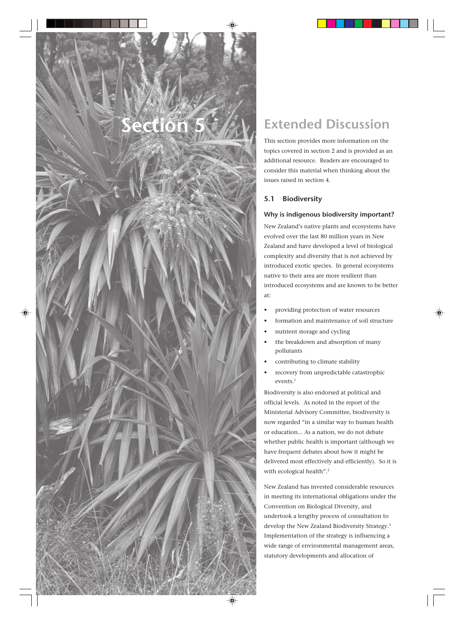# **Section 5**

# **Extended Discussion**

This section provides more information on the topics covered in section 2 and is provided as an additional resource. Readers are encouraged to consider this material when thinking about the issues raised in section 4.

## **5.1 Biodiversity**

## **Why is indigenous biodiversity important?**

New Zealand's native plants and ecosystems have evolved over the last 80 million years in New Zealand and have developed a level of biological complexity and diversity that is not achieved by introduced exotic species. In general ecosystems native to their area are more resilient than introduced ecosystems and are known to be better at:

- providing protection of water resources
- formation and maintenance of soil structure
- nutrient storage and cycling
- the breakdown and absorption of many pollutants
- contributing to climate stability
- recovery from unpredictable catastrophic events.1

Biodiversity is also endorsed at political and official levels. As noted in the report of the Ministerial Advisory Committee, biodiversity is now regarded "in a similar way to human health or education... As a nation, we do not debate whether public health is important (although we have frequent debates about how it might be delivered most effectively and efficiently). So it is with ecological health".<sup>2</sup>

New Zealand has invested considerable resources in meeting its international obligations under the Convention on Biological Diversity, and undertook a lengthy process of consultation to develop the New Zealand Biodiversity Strategy.3 Implementation of the strategy is influencing a wide range of environmental management areas, statutory developments and allocation of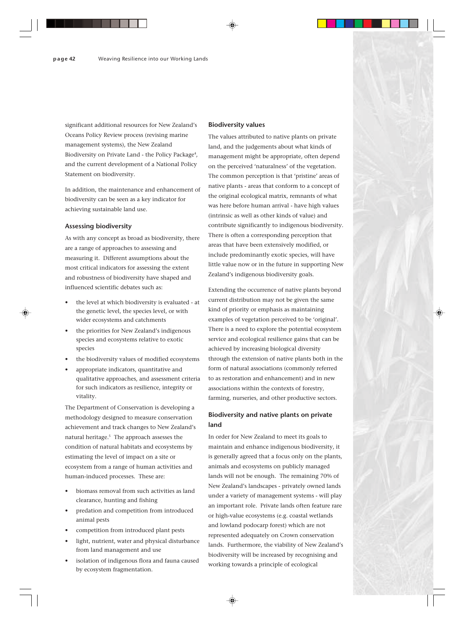significant additional resources for New Zealand's Oceans Policy Review process (revising marine management systems), the New Zealand Biodiversity on Private Land - the Policy Package<sup>4</sup>, and the current development of a National Policy Statement on biodiversity.

In addition, the maintenance and enhancement of biodiversity can be seen as a key indicator for achieving sustainable land use.

## **Assessing biodiversity**

As with any concept as broad as biodiversity, there are a range of approaches to assessing and measuring it. Different assumptions about the most critical indicators for assessing the extent and robustness of biodiversity have shaped and influenced scientific debates such as:

- the level at which biodiversity is evaluated at the genetic level, the species level, or with wider ecosystems and catchments
- the priorities for New Zealand's indigenous species and ecosystems relative to exotic species
- the biodiversity values of modified ecosystems
- appropriate indicators, quantitative and qualitative approaches, and assessment criteria for such indicators as resilience, integrity or vitality.

The Department of Conservation is developing a methodology designed to measure conservation achievement and track changes to New Zealand's natural heritage.5 The approach assesses the condition of natural habitats and ecosystems by estimating the level of impact on a site or ecosystem from a range of human activities and human-induced processes. These are:

- biomass removal from such activities as land clearance, hunting and fishing
- predation and competition from introduced animal pests
- competition from introduced plant pests
- light, nutrient, water and physical disturbance from land management and use
- isolation of indigenous flora and fauna caused by ecosystem fragmentation.

#### **Biodiversity values**

The values attributed to native plants on private land, and the judgements about what kinds of management might be appropriate, often depend on the perceived 'naturalness' of the vegetation. The common perception is that 'pristine' areas of native plants - areas that conform to a concept of the original ecological matrix, remnants of what was here before human arrival - have high values (intrinsic as well as other kinds of value) and contribute significantly to indigenous biodiversity. There is often a corresponding perception that areas that have been extensively modified, or include predominantly exotic species, will have little value now or in the future in supporting New Zealand's indigenous biodiversity goals.

Extending the occurrence of native plants beyond current distribution may not be given the same kind of priority or emphasis as maintaining examples of vegetation perceived to be 'original'. There is a need to explore the potential ecosystem service and ecological resilience gains that can be achieved by increasing biological diversity through the extension of native plants both in the form of natural associations (commonly referred to as restoration and enhancement) and in new associations within the contexts of forestry, farming, nurseries, and other productive sectors.

## **Biodiversity and native plants on private land**

In order for New Zealand to meet its goals to maintain and enhance indigenous biodiversity, it is generally agreed that a focus only on the plants, animals and ecosystems on publicly managed lands will not be enough. The remaining 70% of New Zealand's landscapes - privately owned lands under a variety of management systems - will play an important role. Private lands often feature rare or high-value ecosystems (e.g. coastal wetlands and lowland podocarp forest) which are not represented adequately on Crown conservation lands. Furthermore, the viability of New Zealand's biodiversity will be increased by recognising and working towards a principle of ecological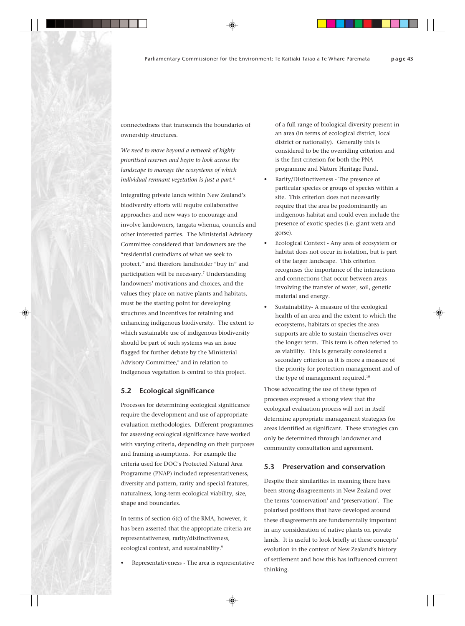connectedness that transcends the boundaries of ownership structures.

*We need to move beyond a network of highly prioritised reserves and begin to look across the landscape to manage the ecosystems of which individual remnant vegetation is just a part.*<sup>6</sup>

Integrating private lands within New Zealand's biodiversity efforts will require collaborative approaches and new ways to encourage and involve landowners, tangata whenua, councils and other interested parties. The Ministerial Advisory Committee considered that landowners are the "residential custodians of what we seek to protect," and therefore landholder "buy in" and participation will be necessary.<sup>7</sup> Understanding landowners' motivations and choices, and the values they place on native plants and habitats, must be the starting point for developing structures and incentives for retaining and enhancing indigenous biodiversity. The extent to which sustainable use of indigenous biodiversity should be part of such systems was an issue flagged for further debate by the Ministerial Advisory Committee,<sup>8</sup> and in relation to indigenous vegetation is central to this project.

## **5.2 Ecological significance**

Processes for determining ecological significance require the development and use of appropriate evaluation methodologies. Different programmes for assessing ecological significance have worked with varying criteria, depending on their purposes and framing assumptions. For example the criteria used for DOC's Protected Natural Area Programme (PNAP) included representativeness, diversity and pattern, rarity and special features, naturalness, long-term ecological viability, size, shape and boundaries.

In terms of section 6(c) of the RMA, however, it has been asserted that the appropriate criteria are representativeness, rarity/distinctiveness, ecological context, and sustainability.<sup>9</sup>

Representativeness - The area is representative

of a full range of biological diversity present in an area (in terms of ecological district, local district or nationally). Generally this is considered to be the overriding criterion and is the first criterion for both the PNA programme and Nature Heritage Fund.

- Rarity/Distinctiveness The presence of particular species or groups of species within a site. This criterion does not necessarily require that the area be predominantly an indigenous habitat and could even include the presence of exotic species (i.e. giant weta and gorse).
- Ecological Context Any area of ecosystem or habitat does not occur in isolation, but is part of the larger landscape. This criterion recognises the importance of the interactions and connections that occur between areas involving the transfer of water, soil, genetic material and energy.
- Sustainability-A measure of the ecological health of an area and the extent to which the ecosystems, habitats or species the area supports are able to sustain themselves over the longer term. This term is often referred to as viability. This is generally considered a secondary criterion as it is more a measure of the priority for protection management and of the type of management required.<sup>10</sup>

Those advocating the use of these types of processes expressed a strong view that the ecological evaluation process will not in itself determine appropriate management strategies for areas identified as significant. These strategies can only be determined through landowner and community consultation and agreement.

## **5.3 Preservation and conservation**

Despite their similarities in meaning there have been strong disagreements in New Zealand over the terms 'conservation' and 'preservation'. The polarised positions that have developed around these disagreements are fundamentally important in any consideration of native plants on private lands. It is useful to look briefly at these concepts' evolution in the context of New Zealand's history of settlement and how this has influenced current thinking.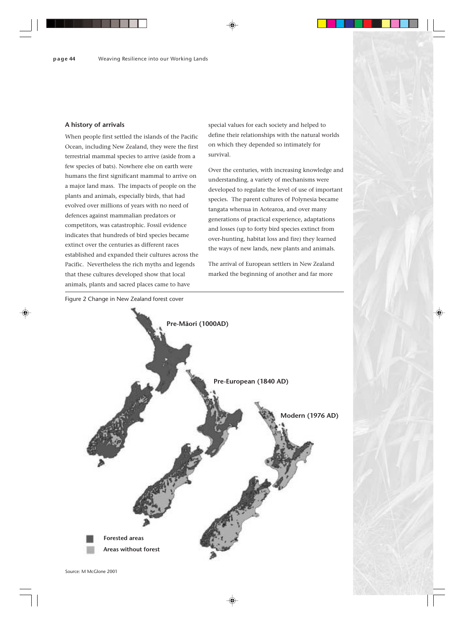## **A history of arrivals**

When people first settled the islands of the Pacific Ocean, including New Zealand, they were the first terrestrial mammal species to arrive (aside from a few species of bats). Nowhere else on earth were humans the first significant mammal to arrive on a major land mass. The impacts of people on the plants and animals, especially birds, that had evolved over millions of years with no need of defences against mammalian predators or competitors, was catastrophic. Fossil evidence indicates that hundreds of bird species became extinct over the centuries as different races established and expanded their cultures across the Pacific. Nevertheless the rich myths and legends that these cultures developed show that local animals, plants and sacred places came to have

special values for each society and helped to define their relationships with the natural worlds on which they depended so intimately for survival.

Over the centuries, with increasing knowledge and understanding, a variety of mechanisms were developed to regulate the level of use of important species. The parent cultures of Polynesia became tangata whenua in Aotearoa, and over many generations of practical experience, adaptations and losses (up to forty bird species extinct from over-hunting, habitat loss and fire) they learned the ways of new lands, new plants and animals.

The arrival of European settlers in New Zealand marked the beginning of another and far more

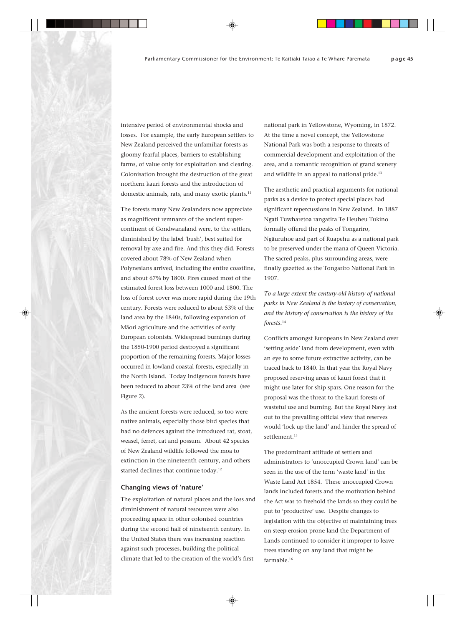intensive period of environmental shocks and losses. For example, the early European settlers to New Zealand perceived the unfamiliar forests as gloomy fearful places, barriers to establishing farms, of value only for exploitation and clearing. Colonisation brought the destruction of the great northern kauri forests and the introduction of domestic animals, rats, and many exotic plants.<sup>11</sup>

The forests many New Zealanders now appreciate as magnificent remnants of the ancient supercontinent of Gondwanaland were, to the settlers, diminished by the label 'bush', best suited for removal by axe and fire. And this they did. Forests covered about 78% of New Zealand when Polynesians arrived, including the entire coastline, and about 67% by 1800. Fires caused most of the estimated forest loss between 1000 and 1800. The loss of forest cover was more rapid during the 19th century. Forests were reduced to about 53% of the land area by the 1840s, following expansion of Mäori agriculture and the activities of early European colonists. Widespread burnings during the 1850-1900 period destroyed a significant proportion of the remaining forests. Major losses occurred in lowland coastal forests, especially in the North Island. Today indigenous forests have been reduced to about 23% of the land area (see Figure 2).

As the ancient forests were reduced, so too were native animals, especially those bird species that had no defences against the introduced rat, stoat, weasel, ferret, cat and possum. About 42 species of New Zealand wildlife followed the moa to extinction in the nineteenth century, and others started declines that continue today.<sup>12</sup>

## **Changing views of 'nature'**

The exploitation of natural places and the loss and diminishment of natural resources were also proceeding apace in other colonised countries during the second half of nineteenth century. In the United States there was increasing reaction against such processes, building the political climate that led to the creation of the world's first

national park in Yellowstone, Wyoming, in 1872. At the time a novel concept, the Yellowstone National Park was both a response to threats of commercial development and exploitation of the area, and a romantic recognition of grand scenery and wildlife in an appeal to national pride.<sup>13</sup>

The aesthetic and practical arguments for national parks as a device to protect special places had significant repercussions in New Zealand. In 1887 Ngati Tuwharetoa rangatira Te Heuheu Tukino formally offered the peaks of Tongariro, Ngäuruhoe and part of Ruapehu as a national park to be preserved under the mana of Queen Victoria. The sacred peaks, plus surrounding areas, were finally gazetted as the Tongariro National Park in 1907.

*To a large extent the century-old history of national parks in New Zealand is the history of conservation, and the history of conservation is the history of the forests.*<sup>14</sup>

Conflicts amongst Europeans in New Zealand over 'setting aside' land from development, even with an eye to some future extractive activity, can be traced back to 1840. In that year the Royal Navy proposed reserving areas of kauri forest that it might use later for ship spars. One reason for the proposal was the threat to the kauri forests of wasteful use and burning. But the Royal Navy lost out to the prevailing official view that reserves would 'lock up the land' and hinder the spread of settlement.<sup>15</sup>

The predominant attitude of settlers and administrators to 'unoccupied Crown land' can be seen in the use of the term 'waste land' in the Waste Land Act 1854. These unoccupied Crown lands included forests and the motivation behind the Act was to freehold the lands so they could be put to 'productive' use. Despite changes to legislation with the objective of maintaining trees on steep erosion prone land the Department of Lands continued to consider it improper to leave trees standing on any land that might be farmable.16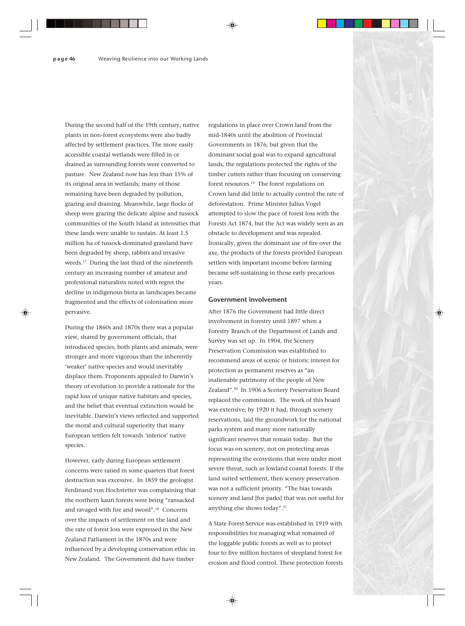During the second half of the 19th century, native plants in non-forest ecosystems were also badly affected by settlement practices. The more easily accessible coastal wetlands were filled in or drained as surrounding forests were converted to pasture. New Zealand now has less than 15% of its original area in wetlands; many of those remaining have been degraded by pollution, grazing and draining. Meanwhile, large flocks of sheep were grazing the delicate alpine and tussock communities of the South Island at intensities that these lands were unable to sustain. At least 1.5 million ha of tussock-dominated grassland have been degraded by sheep, rabbits and invasive weeds.17 During the last third of the nineteenth century an increasing number of amateur and professional naturalists noted with regret the decline in indigenous biota as landscapes became fragmented and the effects of colonisation more pervasive.

During the 1860s and 1870s there was a popular view, shared by government officials, that introduced species, both plants and animals, were stronger and more vigorous than the inherently 'weaker' native species and would inevitably displace them. Proponents appealed to Darwin's theory of evolution to provide a rationale for the rapid loss of unique native habitats and species, and the belief that eventual extinction would be inevitable. Darwin's views reflected and supported the moral and cultural superiority that many European settlers felt towards 'inferior' native species.

However, early during European settlement concerns were raised in some quarters that forest destruction was excessive. In 1859 the geologist Ferdinand von Hochstetter was complaining that the northern kauri forests were being "ransacked and ravaged with fire and sword".18 Concerns over the impacts of settlement on the land and the rate of forest loss were expressed in the New Zealand Parliament in the 1870s and were influenced by a developing conservation ethic in New Zealand. The Government did have timber

regulations in place over Crown land from the mid-1840s until the abolition of Provincial Governments in 1876, but given that the dominant social goal was to expand agricultural lands, the regulations protected the rights of the timber cutters rather than focusing on conserving forest resources.19 The forest regulations on Crown land did little to actually control the rate of deforestation. Prime Minister Julius Vogel attempted to slow the pace of forest loss with the Forests Act 1874, but the Act was widely seen as an obstacle to development and was repealed. Ironically, given the dominant use of fire over the axe, the products of the forests provided European settlers with important income before farming became self-sustaining in those early precarious years.

## **Government involvement**

After 1876 the Government had little direct involvement in forestry until 1897 when a Forestry Branch of the Department of Lands and Survey was set up. In 1904, the Scenery Preservation Commission was established to recommend areas of scenic or historic interest for protection as permanent reserves as "an inalienable patrimony of the people of New Zealand".20 In 1906 a Scenery Preservation Board replaced the commission. The work of this board was extensive; by 1920 it had, through scenery reservations, laid the groundwork for the national parks system and many more nationally significant reserves that remain today. But the focus was on scenery, not on protecting areas representing the ecosystems that were under most severe threat, such as lowland coastal forests. If the land suited settlement, then scenery preservation was not a sufficient priority. "The bias towards scenery and land [for parks] that was not useful for anything else shows today".21

A State Forest Service was established in 1919 with responsibilities for managing what remained of the loggable public forests as well as to protect four to five million hectares of steepland forest for erosion and flood control. These protection forests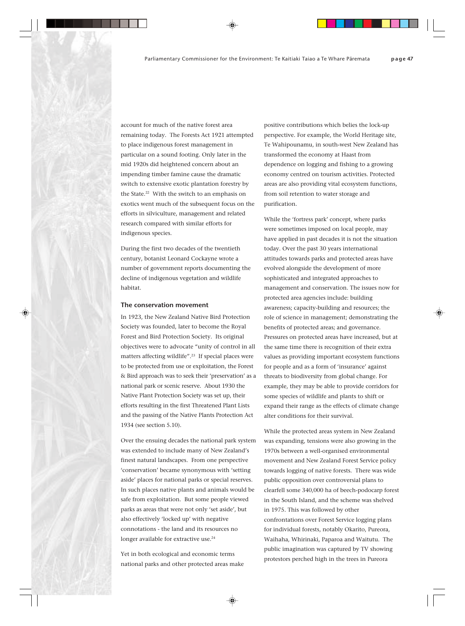account for much of the native forest area remaining today. The Forests Act 1921 attempted to place indigenous forest management in particular on a sound footing. Only later in the mid 1920s did heightened concern about an impending timber famine cause the dramatic switch to extensive exotic plantation forestry by the State.<sup>22</sup> With the switch to an emphasis on exotics went much of the subsequent focus on the efforts in silviculture, management and related research compared with similar efforts for indigenous species.

During the first two decades of the twentieth century, botanist Leonard Cockayne wrote a number of government reports documenting the decline of indigenous vegetation and wildlife habitat.

## **The conservation movement**

In 1923, the New Zealand Native Bird Protection Society was founded, later to become the Royal Forest and Bird Protection Society. Its original objectives were to advocate "unity of control in all matters affecting wildlife".<sup>23</sup> If special places were to be protected from use or exploitation, the Forest & Bird approach was to seek their 'preservation' as a national park or scenic reserve. About 1930 the Native Plant Protection Society was set up, their efforts resulting in the first Threatened Plant Lists and the passing of the Native Plants Protection Act 1934 (see section 5.10).

Over the ensuing decades the national park system was extended to include many of New Zealand's finest natural landscapes. From one perspective 'conservation' became synonymous with 'setting aside' places for national parks or special reserves. In such places native plants and animals would be safe from exploitation. But some people viewed parks as areas that were not only 'set aside', but also effectively 'locked up' with negative connotations - the land and its resources no longer available for extractive use.<sup>24</sup>

Yet in both ecological and economic terms national parks and other protected areas make

positive contributions which belies the lock-up perspective. For example, the World Heritage site, Te Wahipounamu, in south-west New Zealand has transformed the economy at Haast from dependence on logging and fishing to a growing economy centred on tourism activities. Protected areas are also providing vital ecosystem functions, from soil retention to water storage and purification.

While the 'fortress park' concept, where parks were sometimes imposed on local people, may have applied in past decades it is not the situation today. Over the past 30 years international attitudes towards parks and protected areas have evolved alongside the development of more sophisticated and integrated approaches to management and conservation. The issues now for protected area agencies include: building awareness; capacity-building and resources; the role of science in management; demonstrating the benefits of protected areas; and governance. Pressures on protected areas have increased, but at the same time there is recognition of their extra values as providing important ecosystem functions for people and as a form of 'insurance' against threats to biodiversity from global change. For example, they may be able to provide corridors for some species of wildlife and plants to shift or expand their range as the effects of climate change alter conditions for their survival.

While the protected areas system in New Zealand was expanding, tensions were also growing in the 1970s between a well-organised environmental movement and New Zealand Forest Service policy towards logging of native forests. There was wide public opposition over controversial plans to clearfell some 340,000 ha of beech-podocarp forest in the South Island, and the scheme was shelved in 1975. This was followed by other confrontations over Forest Service logging plans for individual forests, notably Okarito, Pureora, Waihaha, Whirinaki, Paparoa and Waitutu. The public imagination was captured by TV showing protestors perched high in the trees in Pureora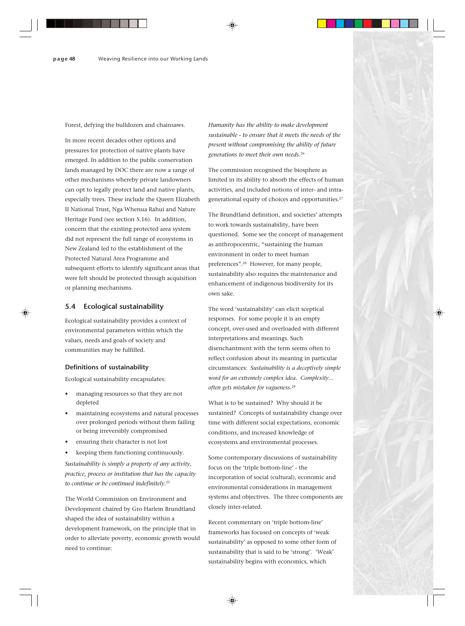Forest, defying the bulldozers and chainsaws.

In more recent decades other options and pressures for protection of native plants have emerged. In addition to the public conservation lands managed by DOC there are now a range of other mechanisms whereby private landowners can opt to legally protect land and native plants, especially trees. These include the Queen Elizabeth II National Trust, Nga Whenua Rahui and Nature Heritage Fund (see section 5.16). In addition, concern that the existing protected area system did not represent the full range of ecosystems in New Zealand led to the establishment of the Protected Natural Area Programme and subsequent efforts to identify significant areas that were felt should be protected through acquisition or planning mechanisms.

## **5.4 Ecological sustainability**

Ecological sustainability provides a context of environmental parameters within which the values, needs and goals of society and communities may be fulfilled.

## **Definitions of sustainability**

Ecological sustainability encapsulates:

- managing resources so that they are not depleted
- maintaining ecosystems and natural processes over prolonged periods without them failing or being irreversibly compromised
- ensuring their character is not lost
- keeping them functioning continuously.

*Sustainability is simply a property of any activity, practice, process or institution that has the capacity to continue or be continued indefinitely.*<sup>25</sup>

The World Commission on Environment and Development chaired by Gro Harlem Brundtland shaped the idea of sustainability within a development framework, on the principle that in order to alleviate poverty, economic growth would need to continue:

*Humanity has the ability to make development sustainable - to ensure that it meets the needs of the present without compromising the ability of future generations to meet their own needs.*<sup>26</sup>

The commission recognised the biosphere as limited in its ability to absorb the effects of human activities, and included notions of inter- and intragenerational equity of choices and opportunities.27

The Brundtland definition, and societies' attempts to work towards sustainability, have been questioned. Some see the concept of management as anthropocentric, "sustaining the human environment in order to meet human preferences".28 However, for many people, sustainability also requires the maintenance and enhancement of indigenous biodiversity for its own sake.

The word 'sustainability' can elicit sceptical responses. For some people it is an empty concept, over-used and overloaded with different interpretations and meanings. Such disenchantment with the term seems often to reflect confusion about its meaning in particular circumstances: *Sustainability is a deceptively simple word for an extremely complex idea. Complexity... often gets mistaken for vagueness.*<sup>29</sup>

What is to be sustained? Why should it be sustained? Concepts of sustainability change over time with different social expectations, economic conditions, and increased knowledge of ecosystems and environmental processes.

Some contemporary discussions of sustainability focus on the 'triple bottom-line' - the incorporation of social (cultural), economic and environmental considerations in management systems and objectives. The three components are closely inter-related.

Recent commentary on 'triple bottom-line' frameworks has focused on concepts of 'weak sustainability' as opposed to some other form of sustainability that is said to be 'strong'. 'Weak' sustainability begins with economics, which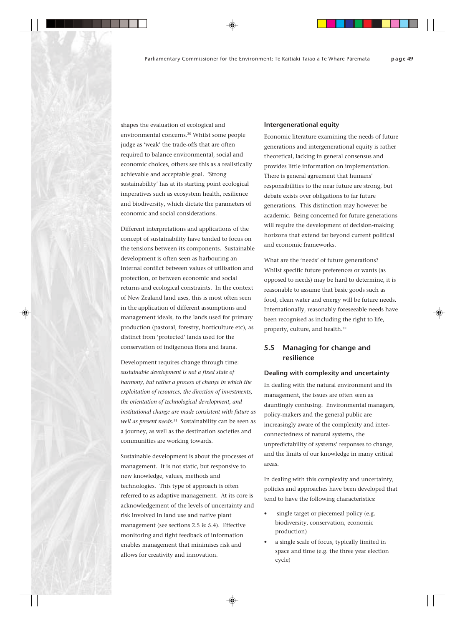shapes the evaluation of ecological and environmental concerns.30 Whilst some people judge as 'weak' the trade-offs that are often required to balance environmental, social and economic choices, others see this as a realistically achievable and acceptable goal. 'Strong sustainability' has at its starting point ecological imperatives such as ecosystem health, resilience and biodiversity, which dictate the parameters of economic and social considerations.

Different interpretations and applications of the concept of sustainability have tended to focus on the tensions between its components. Sustainable development is often seen as harbouring an internal conflict between values of utilisation and protection, or between economic and social returns and ecological constraints. In the context of New Zealand land uses, this is most often seen in the application of different assumptions and management ideals, to the lands used for primary production (pastoral, forestry, horticulture etc), as distinct from 'protected' lands used for the conservation of indigenous flora and fauna.

Development requires change through time: *sustainable development is not a fixed state of harmony, but rather a process of change in which the exploitation of resources, the direction of investments, the orientation of technological development, and institutional change are made consistent with future as well as present needs*. 31 Sustainability can be seen as a journey, as well as the destination societies and communities are working towards.

Sustainable development is about the processes of management. It is not static, but responsive to new knowledge, values, methods and technologies. This type of approach is often referred to as adaptive management. At its core is acknowledgement of the levels of uncertainty and risk involved in land use and native plant management (see sections 2.5 & 5.4). Effective monitoring and tight feedback of information enables management that minimises risk and allows for creativity and innovation.

#### **Intergenerational equity**

Economic literature examining the needs of future generations and intergenerational equity is rather theoretical, lacking in general consensus and provides little information on implementation. There is general agreement that humans' responsibilities to the near future are strong, but debate exists over obligations to far future generations. This distinction may however be academic. Being concerned for future generations will require the development of decision-making horizons that extend far beyond current political and economic frameworks.

What are the 'needs' of future generations? Whilst specific future preferences or wants (as opposed to needs) may be hard to determine, it is reasonable to assume that basic goods such as food, clean water and energy will be future needs. Internationally, reasonably foreseeable needs have been recognised as including the right to life, property, culture, and health.32

## **5.5 Managing for change and resilience**

#### **Dealing with complexity and uncertainty**

In dealing with the natural environment and its management, the issues are often seen as dauntingly confusing. Environmental managers, policy-makers and the general public are increasingly aware of the complexity and interconnectedness of natural systems, the unpredictability of systems' responses to change, and the limits of our knowledge in many critical areas.

In dealing with this complexity and uncertainty, policies and approaches have been developed that tend to have the following characteristics:

- single target or piecemeal policy (e.g. biodiversity, conservation, economic production)
- a single scale of focus, typically limited in space and time (e.g. the three year election cycle)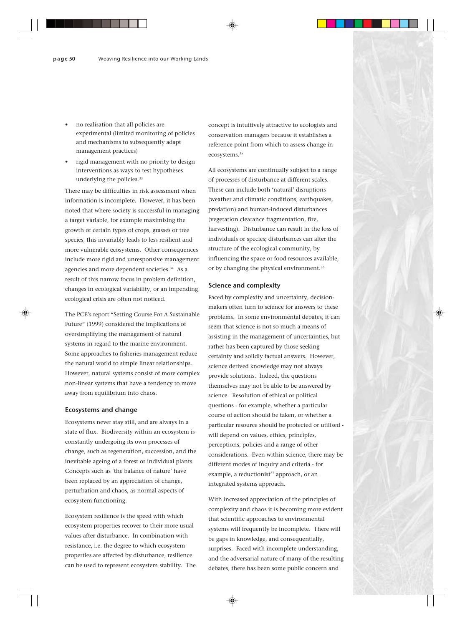- no realisation that all policies are experimental (limited monitoring of policies and mechanisms to subsequently adapt management practices)
- rigid management with no priority to design interventions as ways to test hypotheses underlying the policies.<sup>33</sup>

There may be difficulties in risk assessment when information is incomplete. However, it has been noted that where society is successful in managing a target variable, for example maximising the growth of certain types of crops, grasses or tree species, this invariably leads to less resilient and more vulnerable ecosystems. Other consequences include more rigid and unresponsive management agencies and more dependent societies.<sup>34</sup> As a result of this narrow focus in problem definition, changes in ecological variability, or an impending ecological crisis are often not noticed.

The PCE's report "Setting Course For A Sustainable Future" (1999) considered the implications of oversimplifying the management of natural systems in regard to the marine environment. Some approaches to fisheries management reduce the natural world to simple linear relationships. However, natural systems consist of more complex non-linear systems that have a tendency to move away from equilibrium into chaos.

## **Ecosystems and change**

Ecosystems never stay still, and are always in a state of flux. Biodiversity within an ecosystem is constantly undergoing its own processes of change, such as regeneration, succession, and the inevitable ageing of a forest or individual plants. Concepts such as 'the balance of nature' have been replaced by an appreciation of change, perturbation and chaos, as normal aspects of ecosystem functioning.

Ecosystem resilience is the speed with which ecosystem properties recover to their more usual values after disturbance. In combination with resistance, i.e. the degree to which ecosystem properties are affected by disturbance, resilience can be used to represent ecosystem stability. The concept is intuitively attractive to ecologists and conservation managers because it establishes a reference point from which to assess change in ecosystems.35

All ecosystems are continually subject to a range of processes of disturbance at different scales. These can include both 'natural' disruptions (weather and climatic conditions, earthquakes, predation) and human-induced disturbances (vegetation clearance fragmentation, fire, harvesting). Disturbance can result in the loss of individuals or species; disturbances can alter the structure of the ecological community, by influencing the space or food resources available, or by changing the physical environment.<sup>36</sup>

## **Science and complexity**

Faced by complexity and uncertainty, decisionmakers often turn to science for answers to these problems. In some environmental debates, it can seem that science is not so much a means of assisting in the management of uncertainties, but rather has been captured by those seeking certainty and solidly factual answers. However, science derived knowledge may not always provide solutions. Indeed, the questions themselves may not be able to be answered by science. Resolution of ethical or political questions - for example, whether a particular course of action should be taken, or whether a particular resource should be protected or utilised will depend on values, ethics, principles, perceptions, policies and a range of other considerations. Even within science, there may be different modes of inquiry and criteria - for example, a reductionist<sup>37</sup> approach, or an integrated systems approach.

With increased appreciation of the principles of complexity and chaos it is becoming more evident that scientific approaches to environmental systems will frequently be incomplete. There will be gaps in knowledge, and consequentially, surprises. Faced with incomplete understanding, and the adversarial nature of many of the resulting debates, there has been some public concern and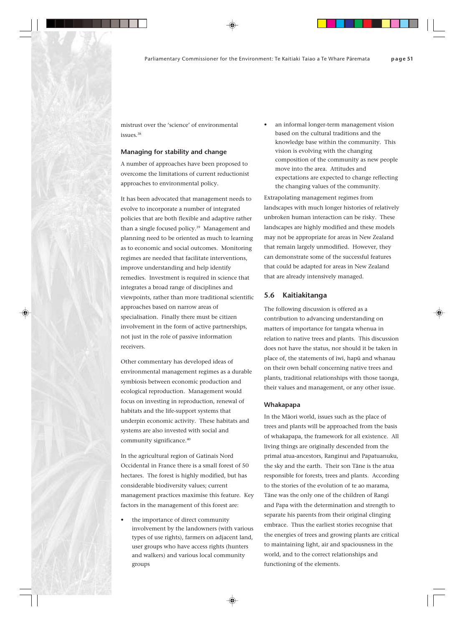mistrust over the 'science' of environmental issues.38

## **Managing for stability and change**

A number of approaches have been proposed to overcome the limitations of current reductionist approaches to environmental policy.

It has been advocated that management needs to evolve to incorporate a number of integrated policies that are both flexible and adaptive rather than a single focused policy.<sup>39</sup> Management and planning need to be oriented as much to learning as to economic and social outcomes. Monitoring regimes are needed that facilitate interventions, improve understanding and help identify remedies. Investment is required in science that integrates a broad range of disciplines and viewpoints, rather than more traditional scientific approaches based on narrow areas of specialisation. Finally there must be citizen involvement in the form of active partnerships, not just in the role of passive information receivers.

Other commentary has developed ideas of environmental management regimes as a durable symbiosis between economic production and ecological reproduction. Management would focus on investing in reproduction, renewal of habitats and the life-support systems that underpin economic activity. These habitats and systems are also invested with social and community significance.<sup>40</sup>

In the agricultural region of Gatinais Nord Occidental in France there is a small forest of 50 hectares. The forest is highly modified, but has considerable biodiversity values; current management practices maximise this feature. Key factors in the management of this forest are:

the importance of direct community involvement by the landowners (with various types of use rights), farmers on adjacent land, user groups who have access rights (hunters and walkers) and various local community groups

an informal longer-term management vision based on the cultural traditions and the knowledge base within the community. This vision is evolving with the changing composition of the community as new people move into the area. Attitudes and expectations are expected to change reflecting the changing values of the community.

Extrapolating management regimes from landscapes with much longer histories of relatively unbroken human interaction can be risky. These landscapes are highly modified and these models may not be appropriate for areas in New Zealand that remain largely unmodified. However, they can demonstrate some of the successful features that could be adapted for areas in New Zealand that are already intensively managed.

## **5.6 Kaitiakitanga**

The following discussion is offered as a contribution to advancing understanding on matters of importance for tangata whenua in relation to native trees and plants. This discussion does not have the status, nor should it be taken in place of, the statements of iwi, hapü and whanau on their own behalf concerning native trees and plants, traditional relationships with those taonga, their values and management, or any other issue.

## **Whakapapa**

In the Mäori world, issues such as the place of trees and plants will be approached from the basis of whakapapa, the framework for all existence. All living things are originally descended from the primal atua-ancestors, Ranginui and Papatuanuku, the sky and the earth. Their son Täne is the atua responsible for forests, trees and plants. According to the stories of the evolution of te ao marama, Täne was the only one of the children of Rangi and Papa with the determination and strength to separate his parents from their original clinging embrace. Thus the earliest stories recognise that the energies of trees and growing plants are critical to maintaining light, air and spaciousness in the world, and to the correct relationships and functioning of the elements.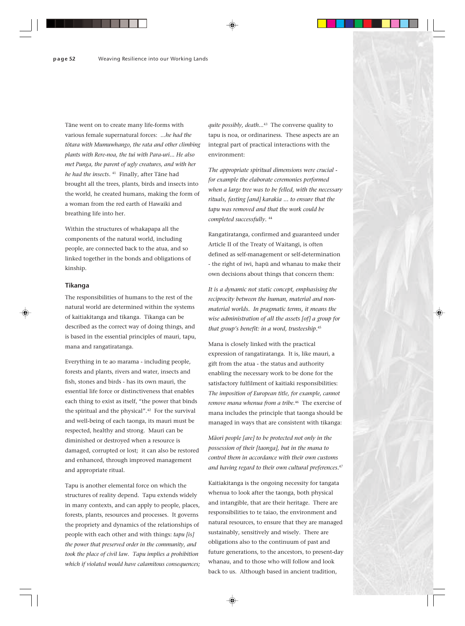Täne went on to create many life-forms with various female supernatural forces: *...he had the tötara with Mumuwhango, the rata and other climbing plants with Rere-noa, the tui with Para-uri... He also met Punga, the parent of ugly creatures, and with her he had the insects.* 41 Finally, after Täne had brought all the trees, plants, birds and insects into the world, he created humans, making the form of a woman from the red earth of Hawaiki and breathing life into her.

Within the structures of whakapapa all the components of the natural world, including people, are connected back to the atua, and so linked together in the bonds and obligations of kinship.

## **Tikanga**

The responsibilities of humans to the rest of the natural world are determined within the systems of kaitiakitanga and tikanga. Tikanga can be described as the correct way of doing things, and is based in the essential principles of mauri, tapu, mana and rangatiratanga.

Everything in te ao marama - including people, forests and plants, rivers and water, insects and fish, stones and birds - has its own mauri, the essential life force or distinctiveness that enables each thing to exist as itself, "the power that binds the spiritual and the physical".42 For the survival and well-being of each taonga, its mauri must be respected, healthy and strong. Mauri can be diminished or destroyed when a resource is damaged, corrupted or lost; it can also be restored and enhanced, through improved management and appropriate ritual.

Tapu is another elemental force on which the structures of reality depend. Tapu extends widely in many contexts, and can apply to people, places, forests, plants, resources and processes. It governs the propriety and dynamics of the relationships of people with each other and with things: *tapu [is] the power that preserved order in the community, and took the place of civil law. Tapu implies a prohibition which if violated would have calamitous consequences;*

*quite possibly, death..*. 43 The converse quality to tapu is noa, or ordinariness. These aspects are an integral part of practical interactions with the environment:

*The appropriate spiritual dimensions were crucial for example the elaborate ceremonies performed when a large tree was to be felled, with the necessary rituals, fasting [and] karakia ... to ensure that the tapu was removed and that the work could be completed successfully.* <sup>44</sup>

Rangatiratanga, confirmed and guaranteed under Article II of the Treaty of Waitangi, is often defined as self-management or self-determination - the right of iwi, hapü and whanau to make their own decisions about things that concern them:

*It is a dynamic not static concept, emphasising the reciprocity between the human, material and nonmaterial worlds. In pragmatic terms, it means the wise administration of all the assets [of] a group for that group's benefit: in a word, trusteeship.*<sup>45</sup>

Mana is closely linked with the practical expression of rangatiratanga. It is, like mauri, a gift from the atua - the status and authority enabling the necessary work to be done for the satisfactory fulfilment of kaitiaki responsibilities: *The imposition of European title, for example, cannot remove mana whenua from a tribe.*46 The exercise of mana includes the principle that taonga should be managed in ways that are consistent with tikanga:

*Mäori people [are] to be protected not only in the possession of their [taonga], but in the mana to control them in accordance with their own customs and having regard to their own cultural preferences.*<sup>47</sup>

Kaitiakitanga is the ongoing necessity for tangata whenua to look after the taonga, both physical and intangible, that are their heritage. There are responsibilities to te taiao, the environment and natural resources, to ensure that they are managed sustainably, sensitively and wisely. There are obligations also to the continuum of past and future generations, to the ancestors, to present-day whanau, and to those who will follow and look back to us. Although based in ancient tradition,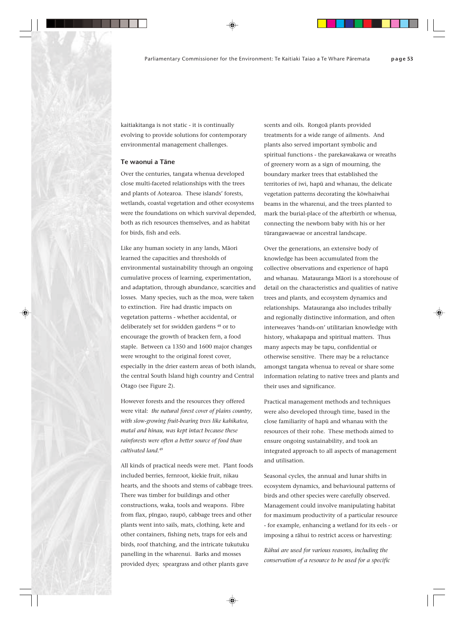kaitiakitanga is not static - it is continually evolving to provide solutions for contemporary environmental management challenges.

## **Te waonui a Täne**

Over the centuries, tangata whenua developed close multi-faceted relationships with the trees and plants of Aotearoa. These islands' forests, wetlands, coastal vegetation and other ecosystems were the foundations on which survival depended, both as rich resources themselves, and as habitat for birds, fish and eels.

Like any human society in any lands, Mäori learned the capacities and thresholds of environmental sustainability through an ongoing cumulative process of learning, experimentation, and adaptation, through abundance, scarcities and losses. Many species, such as the moa, were taken to extinction. Fire had drastic impacts on vegetation patterns - whether accidental, or deliberately set for swidden gardens 48 or to encourage the growth of bracken fern, a food staple. Between ca 1350 and 1600 major changes were wrought to the original forest cover, especially in the drier eastern areas of both islands, the central South Island high country and Central Otago (see Figure 2).

However forests and the resources they offered were vital: *the natural forest cover of plains country, with slow-growing fruit-bearing trees like kahikatea, mataï and hinau, was kept intact because these rainforests were often a better source of food than cultivated land.*<sup>49</sup>

All kinds of practical needs were met. Plant foods included berries, fernroot, kiekie fruit, nikau hearts, and the shoots and stems of cabbage trees. There was timber for buildings and other constructions, waka, tools and weapons. Fibre from flax, pïngao, raupö, cabbage trees and other plants went into sails, mats, clothing, kete and other containers, fishing nets, traps for eels and birds, roof thatching, and the intricate tukutuku panelling in the wharenui. Barks and mosses provided dyes; speargrass and other plants gave

scents and oils. Rongoä plants provided treatments for a wide range of ailments. And plants also served important symbolic and spiritual functions - the parekawakawa or wreaths of greenery worn as a sign of mourning, the boundary marker trees that established the territories of iwi, hapü and whanau, the delicate vegetation patterns decorating the köwhaiwhai beams in the wharenui, and the trees planted to mark the burial-place of the afterbirth or whenua, connecting the newborn baby with his or her türangawaewae or ancestral landscape.

Over the generations, an extensive body of knowledge has been accumulated from the collective observations and experience of hapü and whanau. Matauranga Mäori is a storehouse of detail on the characteristics and qualities of native trees and plants, and ecosystem dynamics and relationships. Matauranga also includes tribally and regionally distinctive information, and often interweaves 'hands-on' utilitarian knowledge with history, whakapapa and spiritual matters. Thus many aspects may be tapu, confidential or otherwise sensitive. There may be a reluctance amongst tangata whenua to reveal or share some information relating to native trees and plants and their uses and significance.

Practical management methods and techniques were also developed through time, based in the close familiarity of hapü and whanau with the resources of their rohe. These methods aimed to ensure ongoing sustainability, and took an integrated approach to all aspects of management and utilisation.

Seasonal cycles, the annual and lunar shifts in ecosystem dynamics, and behavioural patterns of birds and other species were carefully observed. Management could involve manipulating habitat for maximum productivity of a particular resource - for example, enhancing a wetland for its eels - or imposing a rähui to restrict access or harvesting:

*Rähui are used for various reasons, including the conservation of a resource to be used for a specific*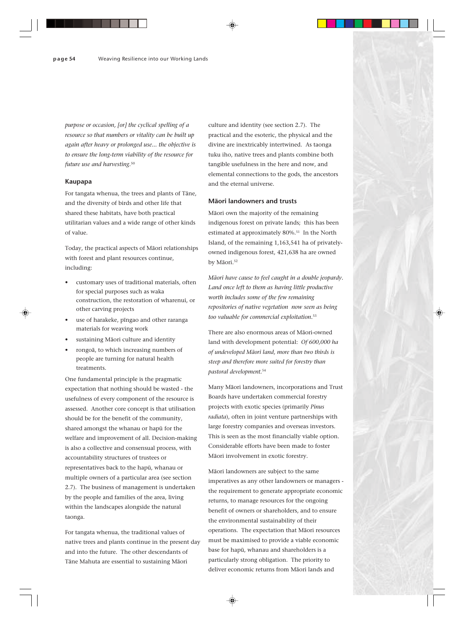*purpose or occasion, [or] the cyclical spelling of a resource so that numbers or vitality can be built up again after heavy or prolonged use... the objective is to ensure the long-term viability of the resource for future use and harvesting.*<sup>50</sup>

#### **Kaupapa**

For tangata whenua, the trees and plants of Täne, and the diversity of birds and other life that shared these habitats, have both practical utilitarian values and a wide range of other kinds of value.

Today, the practical aspects of Mäori relationships with forest and plant resources continue, including:

- customary uses of traditional materials, often for special purposes such as waka construction, the restoration of wharenui, or other carving projects
- use of harakeke, pīngao and other raranga materials for weaving work
- sustaining Māori culture and identity
- rongoä, to which increasing numbers of people are turning for natural health treatments.

One fundamental principle is the pragmatic expectation that nothing should be wasted - the usefulness of every component of the resource is assessed. Another core concept is that utilisation should be for the benefit of the community, shared amongst the whanau or hapü for the welfare and improvement of all. Decision-making is also a collective and consensual process, with accountability structures of trustees or representatives back to the hapü, whanau or multiple owners of a particular area (see section 2.7). The business of management is undertaken by the people and families of the area, living within the landscapes alongside the natural taonga.

For tangata whenua, the traditional values of native trees and plants continue in the present day and into the future. The other descendants of Täne Mahuta are essential to sustaining Mäori

culture and identity (see section 2.7). The practical and the esoteric, the physical and the divine are inextricably intertwined. As taonga tuku iho, native trees and plants combine both tangible usefulness in the here and now, and elemental connections to the gods, the ancestors and the eternal universe.

## **Mäori landowners and trusts**

Mäori own the majority of the remaining indigenous forest on private lands; this has been estimated at approximately 80%.<sup>51</sup> In the North Island, of the remaining 1,163,541 ha of privatelyowned indigenous forest, 421,638 ha are owned by Māori.<sup>52</sup>

*Mäori have cause to feel caught in a double jeopardy. Land once left to them as having little productive worth includes some of the few remaining repositories of native vegetation now seen as being too valuable for commercial exploitation.*<sup>53</sup>

There are also enormous areas of Mäori-owned land with development potential: *Of 600,000 ha of undeveloped Mäori land, more than two thirds is steep and therefore more suited for forestry than pastoral development.*<sup>54</sup>

Many Mäori landowners, incorporations and Trust Boards have undertaken commercial forestry projects with exotic species (primarily *Pinus radiata*), often in joint venture partnerships with large forestry companies and overseas investors. This is seen as the most financially viable option. Considerable efforts have been made to foster Mäori involvement in exotic forestry.

Mäori landowners are subject to the same imperatives as any other landowners or managers the requirement to generate appropriate economic returns, to manage resources for the ongoing benefit of owners or shareholders, and to ensure the environmental sustainability of their operations. The expectation that Mäori resources must be maximised to provide a viable economic base for hapü, whanau and shareholders is a particularly strong obligation. The priority to deliver economic returns from Mäori lands and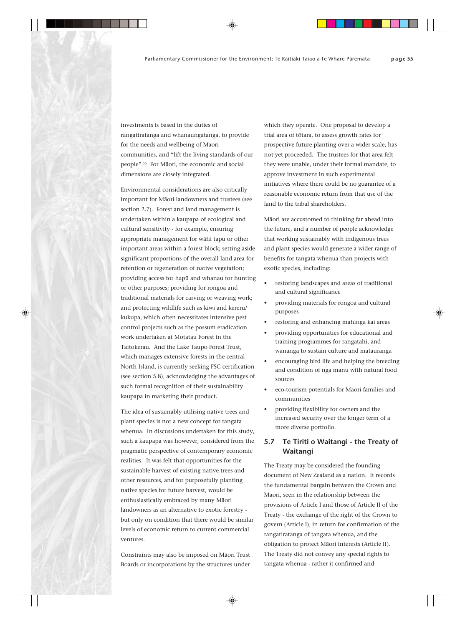investments is based in the duties of rangatiratanga and whanaungatanga, to provide for the needs and wellbeing of Mäori communities, and "lift the living standards of our people".55 For Mäori, the economic and social dimensions are closely integrated.

Environmental considerations are also critically important for Mäori landowners and trustees (see section 2.7). Forest and land management is undertaken within a kaupapa of ecological and cultural sensitivity - for example, ensuring appropriate management for wähi tapu or other important areas within a forest block; setting aside significant proportions of the overall land area for retention or regeneration of native vegetation; providing access for hapü and whanau for hunting or other purposes; providing for rongoä and traditional materials for carving or weaving work; and protecting wildlife such as kiwi and kereru/ kukupa, which often necessitates intensive pest control projects such as the possum eradication work undertaken at Motatau Forest in the Taitokerau. And the Lake Taupo Forest Trust, which manages extensive forests in the central North Island, is currently seeking FSC certification (see section 5.8), acknowledging the advantages of such formal recognition of their sustainability kaupapa in marketing their product.

The idea of sustainably utilising native trees and plant species is not a new concept for tangata whenua. In discussions undertaken for this study, such a kaupapa was however, considered from the pragmatic perspective of contemporary economic realities. It was felt that opportunities for the sustainable harvest of existing native trees and other resources, and for purposefully planting native species for future harvest, would be enthusiastically embraced by many Mäori landowners as an alternative to exotic forestry but only on condition that there would be similar levels of economic return to current commercial ventures.

Constraints may also be imposed on Mäori Trust Boards or incorporations by the structures under

which they operate. One proposal to develop a trial area of tötara, to assess growth rates for prospective future planting over a wider scale, has not yet proceeded. The trustees for that area felt they were unable, under their formal mandate, to approve investment in such experimental initiatives where there could be no guarantee of a reasonable economic return from that use of the land to the tribal shareholders.

Mäori are accustomed to thinking far ahead into the future, and a number of people acknowledge that working sustainably with indigenous trees and plant species would generate a wider range of benefits for tangata whenua than projects with exotic species, including:

- restoring landscapes and areas of traditional and cultural significance
- providing materials for rongoä and cultural purposes
- restoring and enhancing mahinga kai areas
- providing opportunities for educational and training programmes for rangatahi, and wänanga to sustain culture and matauranga
- encouraging bird life and helping the breeding and condition of nga manu with natural food sources
- eco-tourism potentials for Mäori families and communities
- providing flexibility for owners and the increased security over the longer term of a more diverse portfolio.

## **5.7 Te Tiriti o Waitangi - the Treaty of Waitangi**

The Treaty may be considered the founding document of New Zealand as a nation. It records the fundamental bargain between the Crown and Mäori, seen in the relationship between the provisions of Article I and those of Article II of the Treaty - the exchange of the right of the Crown to govern (Article I), in return for confirmation of the rangatiratanga of tangata whenua, and the obligation to protect Mäori interests (Article II). The Treaty did not convey any special rights to tangata whenua - rather it confirmed and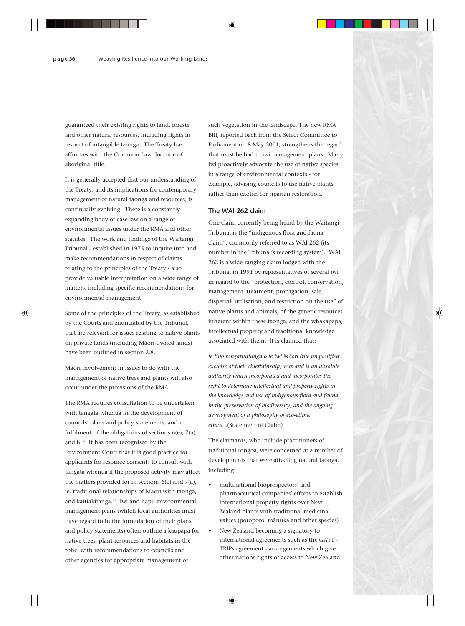guaranteed their existing rights to land, forests and other natural resources, including rights in respect of intangible taonga. The Treaty has affinities with the Common Law doctrine of aboriginal title.

It is generally accepted that our understanding of the Treaty, and its implications for contemporary management of natural taonga and resources, is continually evolving. There is a constantly expanding body of case law on a range of environmental issues under the RMA and other statutes. The work and findings of the Waitangi Tribunal - established in 1975 to inquire into and make recommendations in respect of claims relating to the principles of the Treaty - also provide valuable interpretation on a wide range of matters, including specific recommendations for environmental management.

Some of the principles of the Treaty, as established by the Courts and enunciated by the Tribunal, that are relevant for issues relating to native plants on private lands (including Mäori-owned lands) have been outlined in section 2.8.

Mäori involvement in issues to do with the management of native trees and plants will also occur under the provisions of the RMA.

The RMA requires consultation to be undertaken with tangata whenua in the development of councils' plans and policy statements, and in fulfilment of the obligations of sections 6(e), 7(a) and 8.56 It has been recognised by the Environment Court that it is good practice for applicants for resource consents to consult with tangata whenua if the proposed activity may affect the matters provided for in sections 6(e) and 7(a), ie. traditional relationships of Mäori with taonga, and kaitiakitanga.57 Iwi and hapü environmental management plans (which local authorities must have regard to in the formulation of their plans and policy statements) often outline a kaupapa for native trees, plant resources and habitats in the rohe, with recommendations to councils and other agencies for appropriate management of

such vegetation in the landscape. The new RMA Bill, reported back from the Select Committee to Parliament on 8 May 2001, strengthens the regard that must be had to iwi management plans. Many iwi proactively advocate the use of native species in a range of environmental contexts - for example, advising councils to use native plants rather than exotics for riparian restoration.

## **The WAI 262 claim**

One claim currently being heard by the Waitangi Tribunal is the "indigenous flora and fauna claim", commonly referred to as WAI 262 (its number in the Tribunal's recording system). WAI 262 is a wide-ranging claim lodged with the Tribunal in 1991 by representatives of several iwi in regard to the "protection, control, conservation, management, treatment, propagation, sale, dispersal, utilisation, and restriction on the use" of native plants and animals, of the genetic resources inherent within these taonga, and the whakapapa, intellectual property and traditional knowledge associated with them. It is claimed that:

*te tino rangatiratanga o te iwi Mäori (the unqualified exercise of their chieftainship) was and is an absolute authority which incorporated and incorporates the right to determine intellectual and property rights in the knowledge and use of indigenous flora and fauna, in the preservation of biodiversity, and the ongoing development of a philosophy of eco-ethnic ethics...*(Statement of Claim)

The claimants, who include practitioners of traditional rongoä, were concerned at a number of developments that were affecting natural taonga, including:

- multinational bioprospectors' and pharmaceutical companies' efforts to establish international property rights over New Zealand plants with traditional medicinal values (poroporo, mänuka and other species)
- New Zealand becoming a signatory to international agreements such as the GATT - TRIPs agreement - arrangements which give other nations rights of access to New Zealand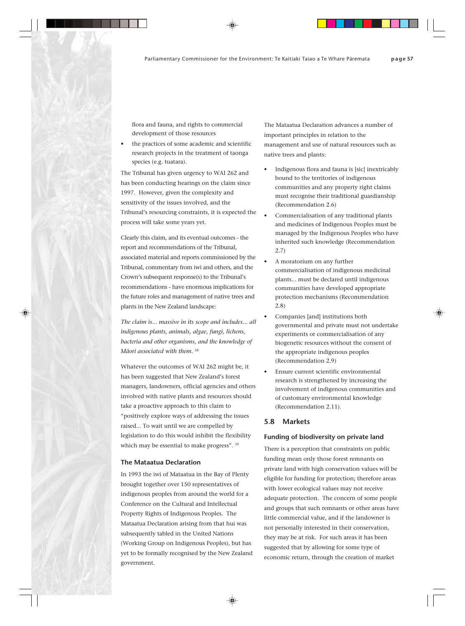flora and fauna, and rights to commercial development of those resources

the practices of some academic and scientific research projects in the treatment of taonga species (e.g. tuatara).

The Tribunal has given urgency to WAI 262 and has been conducting hearings on the claim since 1997. However, given the complexity and sensitivity of the issues involved, and the Tribunal's resourcing constraints, it is expected the process will take some years yet.

Clearly this claim, and its eventual outcomes - the report and recommendations of the Tribunal, associated material and reports commissioned by the Tribunal, commentary from iwi and others, and the Crown's subsequent response(s) to the Tribunal's recommendations - have enormous implications for the future roles and management of native trees and plants in the New Zealand landscape:

*The claim is... massive in its scope and includes... all indigenous plants, animals, algae, fungi, lichens, bacteria and other organisms, and the knowledge of Mäori associated with them.* <sup>58</sup>

Whatever the outcomes of WAI 262 might be, it has been suggested that New Zealand's forest managers, landowners, official agencies and others involved with native plants and resources should take a proactive approach to this claim to "positively explore ways of addressing the issues raised... To wait until we are compelled by legislation to do this would inhibit the flexibility which may be essential to make progress".  $59$ 

#### **The Mataatua Declaration**

In 1993 the iwi of Mataatua in the Bay of Plenty brought together over 150 representatives of indigenous peoples from around the world for a Conference on the Cultural and Intellectual Property Rights of Indigenous Peoples. The Mataatua Declaration arising from that hui was subsequently tabled in the United Nations (Working Group on Indigenous Peoples), but has yet to be formally recognised by the New Zealand government.

The Mataatua Declaration advances a number of important principles in relation to the management and use of natural resources such as native trees and plants:

- Indigenous flora and fauna is [sic] inextricably bound to the territories of indigenous communities and any property right claims must recognise their traditional guardianship (Recommendation 2.6)
- Commercialisation of any traditional plants and medicines of Indigenous Peoples must be managed by the Indigenous Peoples who have inherited such knowledge (Recommendation 2.7)
- A moratorium on any further commercialisation of indigenous medicinal plants... must be declared until indigenous communities have developed appropriate protection mechanisms (Recommendation 2.8)
- Companies [and] institutions both governmental and private must not undertake experiments or commercialisation of any biogenetic resources without the consent of the appropriate indigenous peoples (Recommendation 2.9)
- Ensure current scientific environmental research is strengthened by increasing the involvement of indigenous communities and of customary environmental knowledge (Recommendation 2.11).

## **5.8 Markets**

## **Funding of biodiversity on private land**

There is a perception that constraints on public funding mean only those forest remnants on private land with high conservation values will be eligible for funding for protection; therefore areas with lower ecological values may not receive adequate protection. The concern of some people and groups that such remnants or other areas have little commercial value, and if the landowner is not personally interested in their conservation, they may be at risk. For such areas it has been suggested that by allowing for some type of economic return, through the creation of market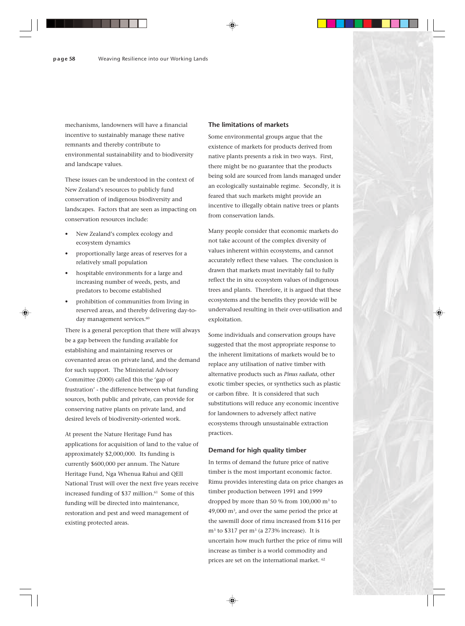mechanisms, landowners will have a financial incentive to sustainably manage these native remnants and thereby contribute to environmental sustainability and to biodiversity and landscape values.

These issues can be understood in the context of New Zealand's resources to publicly fund conservation of indigenous biodiversity and landscapes. Factors that are seen as impacting on conservation resources include:

- New Zealand's complex ecology and ecosystem dynamics
- proportionally large areas of reserves for a relatively small population
- hospitable environments for a large and increasing number of weeds, pests, and predators to become established
- prohibition of communities from living in reserved areas, and thereby delivering day-today management services.<sup>60</sup>

There is a general perception that there will always be a gap between the funding available for establishing and maintaining reserves or covenanted areas on private land, and the demand for such support. The Ministerial Advisory Committee (2000) called this the 'gap of frustration' - the difference between what funding sources, both public and private, can provide for conserving native plants on private land, and desired levels of biodiversity-oriented work.

At present the Nature Heritage Fund has applications for acquisition of land to the value of approximately \$2,000,000. Its funding is currently \$600,000 per annum. The Nature Heritage Fund, Nga Whenua Rahui and QEII National Trust will over the next five years receive increased funding of  $$37$  million.<sup>61</sup> Some of this funding will be directed into maintenance, restoration and pest and weed management of existing protected areas.

#### **The limitations of markets**

Some environmental groups argue that the existence of markets for products derived from native plants presents a risk in two ways. First, there might be no guarantee that the products being sold are sourced from lands managed under an ecologically sustainable regime. Secondly, it is feared that such markets might provide an incentive to illegally obtain native trees or plants from conservation lands.

Many people consider that economic markets do not take account of the complex diversity of values inherent within ecosystems, and cannot accurately reflect these values. The conclusion is drawn that markets must inevitably fail to fully reflect the in situ ecosystem values of indigenous trees and plants. Therefore, it is argued that these ecosystems and the benefits they provide will be undervalued resulting in their over-utilisation and exploitation.

Some individuals and conservation groups have suggested that the most appropriate response to the inherent limitations of markets would be to replace any utilisation of native timber with alternative products such as *Pinus radiata*, other exotic timber species, or synthetics such as plastic or carbon fibre. It is considered that such substitutions will reduce any economic incentive for landowners to adversely affect native ecosystems through unsustainable extraction practices.

## **Demand for high quality timber**

In terms of demand the future price of native timber is the most important economic factor. Rimu provides interesting data on price changes as timber production between 1991 and 1999 dropped by more than 50 % from 100,000 m3 to 49,000 m3 , and over the same period the price at the sawmill door of rimu increased from \$116 per m<sup>3</sup> to \$317 per m<sup>3</sup> (a 273% increase). It is uncertain how much further the price of rimu will increase as timber is a world commodity and prices are set on the international market. 62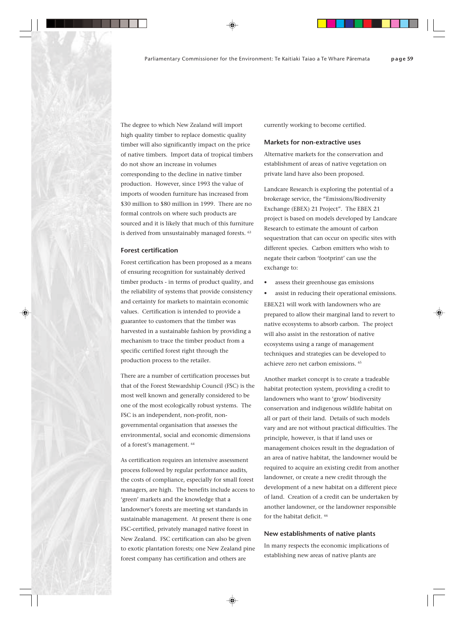The degree to which New Zealand will import high quality timber to replace domestic quality timber will also significantly impact on the price of native timbers. Import data of tropical timbers do not show an increase in volumes corresponding to the decline in native timber production. However, since 1993 the value of imports of wooden furniture has increased from \$30 million to \$80 million in 1999. There are no formal controls on where such products are sourced and it is likely that much of this furniture is derived from unsustainably managed forests.  $63$ 

#### **Forest certification**

Forest certification has been proposed as a means of ensuring recognition for sustainably derived timber products - in terms of product quality, and the reliability of systems that provide consistency and certainty for markets to maintain economic values. Certification is intended to provide a guarantee to customers that the timber was harvested in a sustainable fashion by providing a mechanism to trace the timber product from a specific certified forest right through the production process to the retailer.

There are a number of certification processes but that of the Forest Stewardship Council (FSC) is the most well known and generally considered to be one of the most ecologically robust systems. The FSC is an independent, non-profit, nongovernmental organisation that assesses the environmental, social and economic dimensions of a forest's management. 64

As certification requires an intensive assessment process followed by regular performance audits, the costs of compliance, especially for small forest managers, are high. The benefits include access to 'green' markets and the knowledge that a landowner's forests are meeting set standards in sustainable management. At present there is one FSC-certified, privately managed native forest in New Zealand. FSC certification can also be given to exotic plantation forests; one New Zealand pine forest company has certification and others are

currently working to become certified.

## **Markets for non-extractive uses**

Alternative markets for the conservation and establishment of areas of native vegetation on private land have also been proposed.

Landcare Research is exploring the potential of a brokerage service, the "Emissions/Biodiversity Exchange (EBEX) 21 Project". The EBEX 21 project is based on models developed by Landcare Research to estimate the amount of carbon sequestration that can occur on specific sites with different species. Carbon emitters who wish to negate their carbon 'footprint' can use the exchange to:

- assess their greenhouse gas emissions
- assist in reducing their operational emissions. EBEX21 will work with landowners who are prepared to allow their marginal land to revert to native ecosystems to absorb carbon. The project will also assist in the restoration of native ecosystems using a range of management techniques and strategies can be developed to achieve zero net carbon emissions. 65

Another market concept is to create a tradeable habitat protection system, providing a credit to landowners who want to 'grow' biodiversity conservation and indigenous wildlife habitat on all or part of their land. Details of such models vary and are not without practical difficulties. The principle, however, is that if land uses or management choices result in the degradation of an area of native habitat, the landowner would be required to acquire an existing credit from another landowner, or create a new credit through the development of a new habitat on a different piece of land. Creation of a credit can be undertaken by another landowner, or the landowner responsible for the habitat deficit. <sup>66</sup>

## **New establishments of native plants**

In many respects the economic implications of establishing new areas of native plants are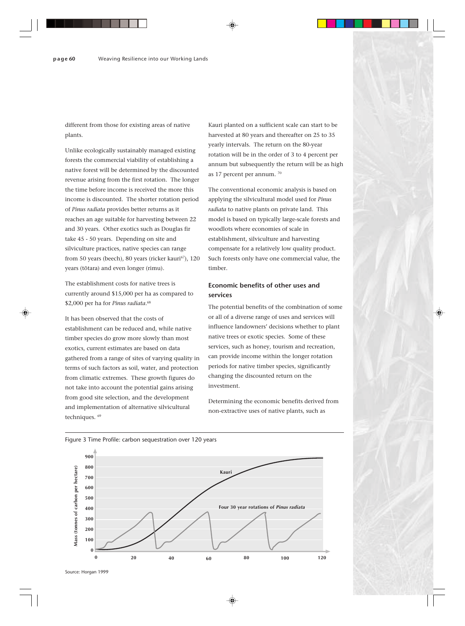different from those for existing areas of native plants.

Unlike ecologically sustainably managed existing forests the commercial viability of establishing a native forest will be determined by the discounted revenue arising from the first rotation. The longer the time before income is received the more this income is discounted. The shorter rotation period of *Pinus radiata* provides better returns as it reaches an age suitable for harvesting between 22 and 30 years. Other exotics such as Douglas fir take 45 - 50 years. Depending on site and silviculture practices, native species can range from 50 years (beech), 80 years (ricker kauri<sup>67</sup>), 120 years (tötara) and even longer (rimu).

The establishment costs for native trees is currently around \$15,000 per ha as compared to \$2,000 per ha for *Pinus radiata*. 68

It has been observed that the costs of establishment can be reduced and, while native timber species do grow more slowly than most exotics, current estimates are based on data gathered from a range of sites of varying quality in terms of such factors as soil, water, and protection from climatic extremes. These growth figures do not take into account the potential gains arising from good site selection, and the development and implementation of alternative silvicultural techniques. 69

Kauri planted on a sufficient scale can start to be harvested at 80 years and thereafter on 25 to 35 yearly intervals. The return on the 80-year rotation will be in the order of 3 to 4 percent per annum but subsequently the return will be as high as 17 percent per annum. 70

The conventional economic analysis is based on applying the silvicultural model used for *Pinus radiata* to native plants on private land. This model is based on typically large-scale forests and woodlots where economies of scale in establishment, silviculture and harvesting compensate for a relatively low quality product. Such forests only have one commercial value, the timber.

## **Economic benefits of other uses and services**

The potential benefits of the combination of some or all of a diverse range of uses and services will influence landowners' decisions whether to plant native trees or exotic species. Some of these services, such as honey, tourism and recreation, can provide income within the longer rotation periods for native timber species, significantly changing the discounted return on the investment.

Determining the economic benefits derived from non-extractive uses of native plants, such as



## Figure 3 Time Profile: carbon sequestration over 120 years

Source: Horgan 1999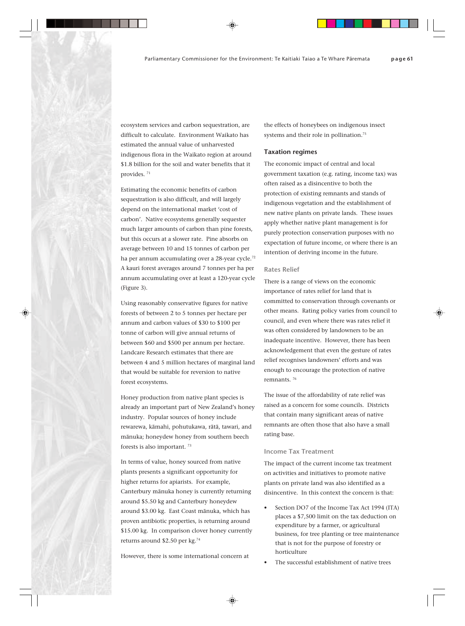ecosystem services and carbon sequestration, are difficult to calculate. Environment Waikato has estimated the annual value of unharvested indigenous flora in the Waikato region at around \$1.8 billion for the soil and water benefits that it provides. 71

Estimating the economic benefits of carbon sequestration is also difficult, and will largely depend on the international market 'cost of carbon'. Native ecosystems generally sequester much larger amounts of carbon than pine forests, but this occurs at a slower rate. Pine absorbs on average between 10 and 15 tonnes of carbon per ha per annum accumulating over a 28-year cycle.<sup>72</sup> A kauri forest averages around 7 tonnes per ha per annum accumulating over at least a 120-year cycle (Figure 3).

Using reasonably conservative figures for native forests of between 2 to 5 tonnes per hectare per annum and carbon values of \$30 to \$100 per tonne of carbon will give annual returns of between \$60 and \$500 per annum per hectare. Landcare Research estimates that there are between 4 and 5 million hectares of marginal land that would be suitable for reversion to native forest ecosystems.

Honey production from native plant species is already an important part of New Zealand's honey industry. Popular sources of honey include rewarewa, kämahi, pohutukawa, rätä, tawari, and mänuka; honeydew honey from southern beech forests is also important. 73

In terms of value, honey sourced from native plants presents a significant opportunity for higher returns for apiarists. For example, Canterbury mänuka honey is currently returning around \$5.50 kg and Canterbury honeydew around \$3.00 kg. East Coast mänuka, which has proven antibiotic properties, is returning around \$15.00 kg. In comparison clover honey currently returns around \$2.50 per kg.74

However, there is some international concern at

the effects of honeybees on indigenous insect systems and their role in pollination.<sup>75</sup>

## **Taxation regimes**

The economic impact of central and local government taxation (e.g. rating, income tax) was often raised as a disincentive to both the protection of existing remnants and stands of indigenous vegetation and the establishment of new native plants on private lands. These issues apply whether native plant management is for purely protection conservation purposes with no expectation of future income, or where there is an intention of deriving income in the future.

## **Rates Relief**

There is a range of views on the economic importance of rates relief for land that is committed to conservation through covenants or other means. Rating policy varies from council to council, and even where there was rates relief it was often considered by landowners to be an inadequate incentive. However, there has been acknowledgement that even the gesture of rates relief recognises landowners' efforts and was enough to encourage the protection of native remnants. 76

The issue of the affordability of rate relief was raised as a concern for some councils. Districts that contain many significant areas of native remnants are often those that also have a small rating base.

## **Income Tax Treatment**

The impact of the current income tax treatment on activities and initiatives to promote native plants on private land was also identified as a disincentive. In this context the concern is that:

- Section DO7 of the Income Tax Act 1994 (ITA) places a \$7,500 limit on the tax deduction on expenditure by a farmer, or agricultural business, for tree planting or tree maintenance that is not for the purpose of forestry or horticulture
- The successful establishment of native trees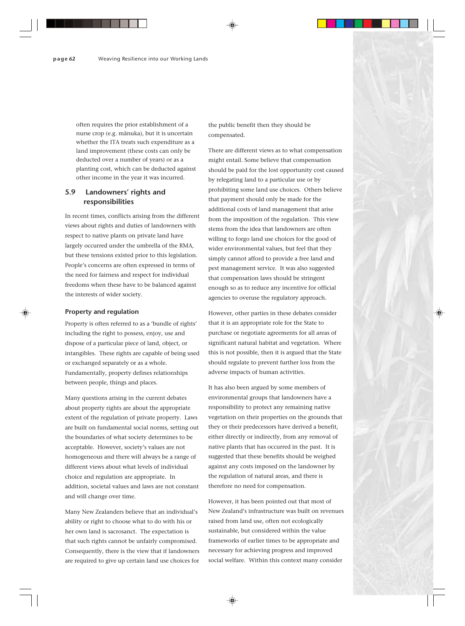often requires the prior establishment of a nurse crop (e.g. mänuka), but it is uncertain whether the ITA treats such expenditure as a land improvement (these costs can only be deducted over a number of years) or as a planting cost, which can be deducted against other income in the year it was incurred.

## **5.9 Landowners' rights and responsibilities**

In recent times, conflicts arising from the different views about rights and duties of landowners with respect to native plants on private land have largely occurred under the umbrella of the RMA, but these tensions existed prior to this legislation. People's concerns are often expressed in terms of the need for fairness and respect for individual freedoms when these have to be balanced against the interests of wider society.

#### **Property and regulation**

Property is often referred to as a 'bundle of rights' including the right to possess, enjoy, use and dispose of a particular piece of land, object, or intangibles. These rights are capable of being used or exchanged separately or as a whole. Fundamentally, property defines relationships between people, things and places.

Many questions arising in the current debates about property rights are about the appropriate extent of the regulation of private property. Laws are built on fundamental social norms, setting out the boundaries of what society determines to be acceptable. However, society's values are not homogeneous and there will always be a range of different views about what levels of individual choice and regulation are appropriate. In addition, societal values and laws are not constant and will change over time.

Many New Zealanders believe that an individual's ability or right to choose what to do with his or her own land is sacrosanct. The expectation is that such rights cannot be unfairly compromised. Consequently, there is the view that if landowners are required to give up certain land use choices for the public benefit then they should be compensated.

There are different views as to what compensation might entail. Some believe that compensation should be paid for the lost opportunity cost caused by relegating land to a particular use or by prohibiting some land use choices. Others believe that payment should only be made for the additional costs of land management that arise from the imposition of the regulation. This view stems from the idea that landowners are often willing to forgo land use choices for the good of wider environmental values, but feel that they simply cannot afford to provide a free land and pest management service. It was also suggested that compensation laws should be stringent enough so as to reduce any incentive for official agencies to overuse the regulatory approach.

However, other parties in these debates consider that it is an appropriate role for the State to purchase or negotiate agreements for all areas of significant natural habitat and vegetation. Where this is not possible, then it is argued that the State should regulate to prevent further loss from the adverse impacts of human activities.

It has also been argued by some members of environmental groups that landowners have a responsibility to protect any remaining native vegetation on their properties on the grounds that they or their predecessors have derived a benefit, either directly or indirectly, from any removal of native plants that has occurred in the past. It is suggested that these benefits should be weighed against any costs imposed on the landowner by the regulation of natural areas, and there is therefore no need for compensation.

However, it has been pointed out that most of New Zealand's infrastructure was built on revenues raised from land use, often not ecologically sustainable, but considered within the value frameworks of earlier times to be appropriate and necessary for achieving progress and improved social welfare. Within this context many consider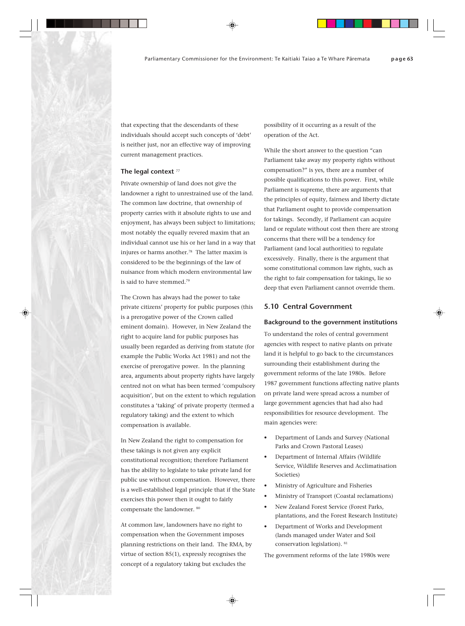that expecting that the descendants of these individuals should accept such concepts of 'debt' is neither just, nor an effective way of improving current management practices.

## **The legal context** <sup>77</sup>

Private ownership of land does not give the landowner a right to unrestrained use of the land. The common law doctrine, that ownership of property carries with it absolute rights to use and enjoyment, has always been subject to limitations; most notably the equally revered maxim that an individual cannot use his or her land in a way that injures or harms another.<sup>78</sup> The latter maxim is considered to be the beginnings of the law of nuisance from which modern environmental law is said to have stemmed.<sup>79</sup>

The Crown has always had the power to take private citizens' property for public purposes (this is a prerogative power of the Crown called eminent domain). However, in New Zealand the right to acquire land for public purposes has usually been regarded as deriving from statute (for example the Public Works Act 1981) and not the exercise of prerogative power. In the planning area, arguments about property rights have largely centred not on what has been termed 'compulsory acquisition', but on the extent to which regulation constitutes a 'taking' of private property (termed a regulatory taking) and the extent to which compensation is available.

In New Zealand the right to compensation for these takings is not given any explicit constitutional recognition; therefore Parliament has the ability to legislate to take private land for public use without compensation. However, there is a well-established legal principle that if the State exercises this power then it ought to fairly compensate the landowner. 80

At common law, landowners have no right to compensation when the Government imposes planning restrictions on their land. The RMA, by virtue of section 85(1), expressly recognises the concept of a regulatory taking but excludes the

possibility of it occurring as a result of the operation of the Act.

While the short answer to the question "can Parliament take away my property rights without compensation?" is yes, there are a number of possible qualifications to this power. First, while Parliament is supreme, there are arguments that the principles of equity, fairness and liberty dictate that Parliament ought to provide compensation for takings. Secondly, if Parliament can acquire land or regulate without cost then there are strong concerns that there will be a tendency for Parliament (and local authorities) to regulate excessively. Finally, there is the argument that some constitutional common law rights, such as the right to fair compensation for takings, lie so deep that even Parliament cannot override them.

## **5.10 Central Government**

## **Background to the government institutions**

To understand the roles of central government agencies with respect to native plants on private land it is helpful to go back to the circumstances surrounding their establishment during the government reforms of the late 1980s. Before 1987 government functions affecting native plants on private land were spread across a number of large government agencies that had also had responsibilities for resource development. The main agencies were:

- Department of Lands and Survey (National Parks and Crown Pastoral Leases)
- Department of Internal Affairs (Wildlife Service, Wildlife Reserves and Acclimatisation Societies)
- Ministry of Agriculture and Fisheries
- Ministry of Transport (Coastal reclamations)
- New Zealand Forest Service (Forest Parks, plantations, and the Forest Research Institute)
- Department of Works and Development (lands managed under Water and Soil conservation legislation). 81

The government reforms of the late 1980s were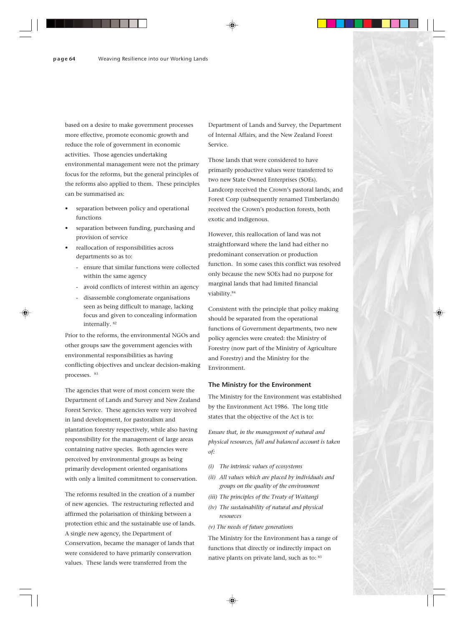based on a desire to make government processes more effective, promote economic growth and reduce the role of government in economic activities. Those agencies undertaking environmental management were not the primary focus for the reforms, but the general principles of the reforms also applied to them. These principles can be summarised as:

- separation between policy and operational functions
- separation between funding, purchasing and provision of service
- reallocation of responsibilities across departments so as to:
	- ensure that similar functions were collected within the same agency
	- avoid conflicts of interest within an agency
	- disassemble conglomerate organisations
	- seen as being difficult to manage, lacking focus and given to concealing information internally. 82

Prior to the reforms, the environmental NGOs and other groups saw the government agencies with environmental responsibilities as having conflicting objectives and unclear decision-making processes. 83

The agencies that were of most concern were the Department of Lands and Survey and New Zealand Forest Service. These agencies were very involved in land development, for pastoralism and plantation forestry respectively, while also having responsibility for the management of large areas containing native species. Both agencies were perceived by environmental groups as being primarily development oriented organisations with only a limited commitment to conservation.

The reforms resulted in the creation of a number of new agencies. The restructuring reflected and affirmed the polarisation of thinking between a protection ethic and the sustainable use of lands. A single new agency, the Department of Conservation, became the manager of lands that were considered to have primarily conservation values. These lands were transferred from the

Department of Lands and Survey, the Department of Internal Affairs, and the New Zealand Forest Service.

Those lands that were considered to have primarily productive values were transferred to two new State Owned Enterprises (SOEs). Landcorp received the Crown's pastoral lands, and Forest Corp (subsequently renamed Timberlands) received the Crown's production forests, both exotic and indigenous.

However, this reallocation of land was not straightforward where the land had either no predominant conservation or production function. In some cases this conflict was resolved only because the new SOEs had no purpose for marginal lands that had limited financial viability.84

Consistent with the principle that policy making should be separated from the operational functions of Government departments, two new policy agencies were created: the Ministry of Forestry (now part of the Ministry of Agriculture and Forestry) and the Ministry for the Environment.

## **The Ministry for the Environment**

The Ministry for the Environment was established by the Environment Act 1986. The long title states that the objective of the Act is to:

*Ensure that, in the management of natural and physical resources, full and balanced account is taken of:*

- *(i) The intrinsic values of ecosystems*
- *(ii) All values which are placed by individuals and groups on the quality of the environment*
- *(iii) The principles of the Treaty of Waitangi*
- *(iv) The sustainability of natural and physical resources*
- *(v) The needs of future generations*

The Ministry for the Environment has a range of functions that directly or indirectly impact on native plants on private land, such as to: 85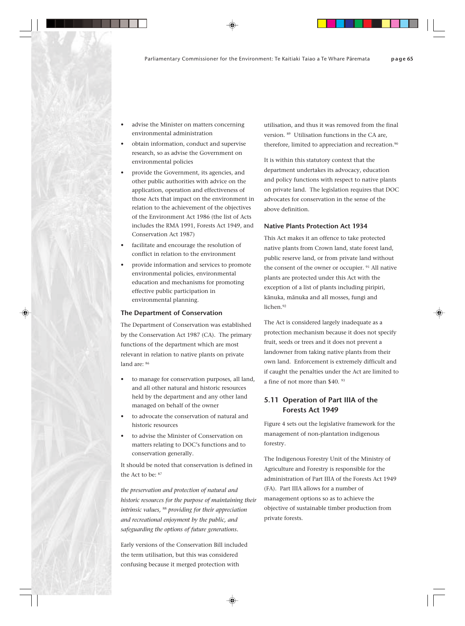- advise the Minister on matters concerning environmental administration
- obtain information, conduct and supervise research, so as advise the Government on environmental policies
- provide the Government, its agencies, and other public authorities with advice on the application, operation and effectiveness of those Acts that impact on the environment in relation to the achievement of the objectives of the Environment Act 1986 (the list of Acts includes the RMA 1991, Forests Act 1949, and Conservation Act 1987)
- facilitate and encourage the resolution of conflict in relation to the environment
- provide information and services to promote environmental policies, environmental education and mechanisms for promoting effective public participation in environmental planning.

## **The Department of Conservation**

The Department of Conservation was established by the Conservation Act 1987 (CA). The primary functions of the department which are most relevant in relation to native plants on private land are: 86

- to manage for conservation purposes, all land, and all other natural and historic resources held by the department and any other land managed on behalf of the owner
- to advocate the conservation of natural and historic resources
- to advise the Minister of Conservation on matters relating to DOC's functions and to conservation generally.

It should be noted that conservation is defined in the Act to be: 87

*the preservation and protection of natural and historic resources for the purpose of maintaining their intrinsic values,* 88 *providing for their appreciation and recreational enjoyment by the public, and safeguarding the options of future generations.*

Early versions of the Conservation Bill included the term utilisation, but this was considered confusing because it merged protection with

utilisation, and thus it was removed from the final version. 89 Utilisation functions in the CA are, therefore, limited to appreciation and recreation.<sup>90</sup>

It is within this statutory context that the department undertakes its advocacy, education and policy functions with respect to native plants on private land. The legislation requires that DOC advocates for conservation in the sense of the above definition.

## **Native Plants Protection Act 1934**

This Act makes it an offence to take protected native plants from Crown land, state forest land, public reserve land, or from private land without the consent of the owner or occupier.<sup>91</sup> All native plants are protected under this Act with the exception of a list of plants including piripiri, känuka, mänuka and all mosses, fungi and lichen.<sup>92</sup>

The Act is considered largely inadequate as a protection mechanism because it does not specify fruit, seeds or trees and it does not prevent a landowner from taking native plants from their own land. Enforcement is extremely difficult and if caught the penalties under the Act are limited to a fine of not more than \$40. 93

## **5.11 Operation of Part IIIA of the Forests Act 1949**

Figure 4 sets out the legislative framework for the management of non-plantation indigenous forestry.

The Indigenous Forestry Unit of the Ministry of Agriculture and Forestry is responsible for the administration of Part IIIA of the Forests Act 1949 (FA). Part IIIA allows for a number of management options so as to achieve the objective of sustainable timber production from private forests.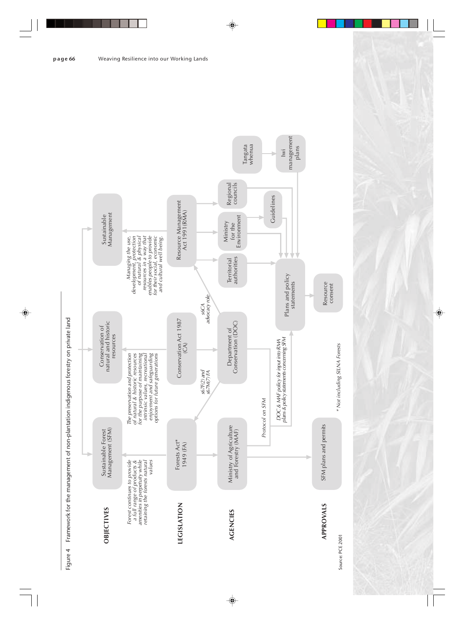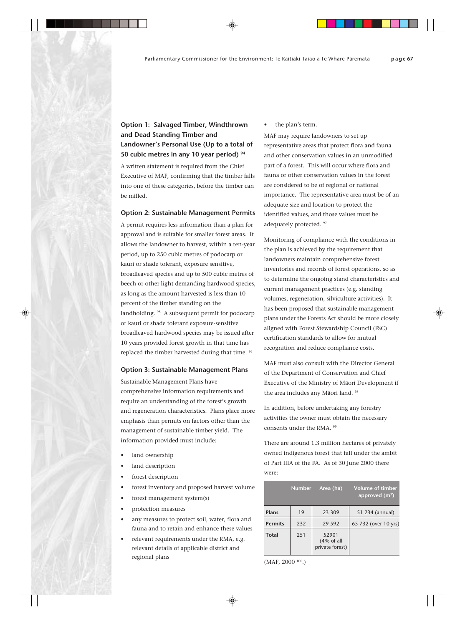## **Option 1: Salvaged Timber, Windthrown and Dead Standing Timber and Landowner's Personal Use (Up to a total of 50 cubic metres in any 10 year period) 94**

A written statement is required from the Chief Executive of MAF, confirming that the timber falls into one of these categories, before the timber can be milled.

## **Option 2: Sustainable Management Permits**

A permit requires less information than a plan for approval and is suitable for smaller forest areas. It allows the landowner to harvest, within a ten-year period, up to 250 cubic metres of podocarp or kauri or shade tolerant, exposure sensitive, broadleaved species and up to 500 cubic metres of beech or other light demanding hardwood species, as long as the amount harvested is less than 10 percent of the timber standing on the landholding. <sup>95</sup> A subsequent permit for podocarp or kauri or shade tolerant exposure-sensitive broadleaved hardwood species may be issued after 10 years provided forest growth in that time has replaced the timber harvested during that time. 96

## **Option 3: Sustainable Management Plans**

Sustainable Management Plans have comprehensive information requirements and require an understanding of the forest's growth and regeneration characteristics. Plans place more emphasis than permits on factors other than the management of sustainable timber yield. The information provided must include:

- land ownership
- land description
- forest description
- forest inventory and proposed harvest volume
- forest management system(s)
- protection measures
- any measures to protect soil, water, flora and fauna and to retain and enhance these values
- relevant requirements under the RMA, e.g. relevant details of applicable district and regional plans

the plan's term.

MAF may require landowners to set up representative areas that protect flora and fauna and other conservation values in an unmodified part of a forest. This will occur where flora and fauna or other conservation values in the forest are considered to be of regional or national importance. The representative area must be of an adequate size and location to protect the identified values, and those values must be adequately protected. 97

Monitoring of compliance with the conditions in the plan is achieved by the requirement that landowners maintain comprehensive forest inventories and records of forest operations, so as to determine the ongoing stand characteristics and current management practices (e.g. standing volumes, regeneration, silviculture activities). It has been proposed that sustainable management plans under the Forests Act should be more closely aligned with Forest Stewardship Council (FSC) certification standards to allow for mutual recognition and reduce compliance costs.

MAF must also consult with the Director General of the Department of Conservation and Chief Executive of the Ministry of Mäori Development if the area includes any Mäori land. 98

In addition, before undertaking any forestry activities the owner must obtain the necessary consents under the RMA. 99

There are around 1.3 million hectares of privately owned indigenous forest that fall under the ambit of Part IIIA of the FA. As of 30 June 2000 there were:

|                | <b>Number</b> | Area (ha)                               | Volume of timber<br>approved $(m^3)$ |
|----------------|---------------|-----------------------------------------|--------------------------------------|
| Plans          | 19            | 23 309                                  | 51 234 (annual)                      |
| <b>Permits</b> | 232           | 29 5 9 2                                | 65 732 (over 10 yrs)                 |
| <b>Total</b>   | 251           | 52901<br>(4% of all)<br>private forest) |                                      |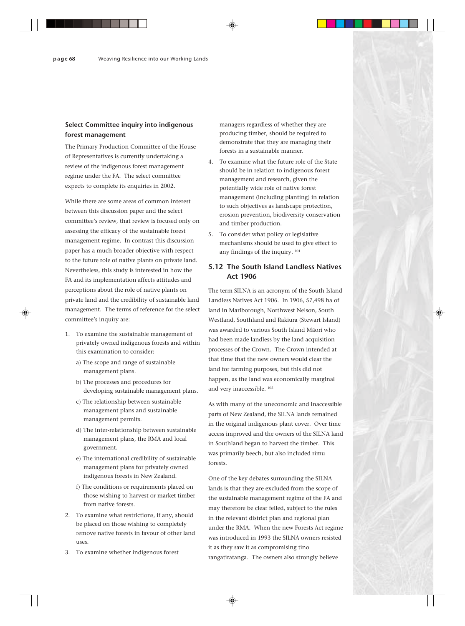## **Select Committee inquiry into indigenous forest management**

The Primary Production Committee of the House of Representatives is currently undertaking a review of the indigenous forest management regime under the FA. The select committee expects to complete its enquiries in 2002.

While there are some areas of common interest between this discussion paper and the select committee's review, that review is focused only on assessing the efficacy of the sustainable forest management regime. In contrast this discussion paper has a much broader objective with respect to the future role of native plants on private land. Nevertheless, this study is interested in how the FA and its implementation affects attitudes and perceptions about the role of native plants on private land and the credibility of sustainable land management. The terms of reference for the select committee's inquiry are:

- 1. To examine the sustainable management of privately owned indigenous forests and within this examination to consider:
	- a) The scope and range of sustainable management plans.
	- b) The processes and procedures for developing sustainable management plans.
	- c) The relationship between sustainable management plans and sustainable management permits.
	- d) The inter-relationship between sustainable management plans, the RMA and local government.
	- e) The international credibility of sustainable management plans for privately owned indigenous forests in New Zealand.
	- f) The conditions or requirements placed on those wishing to harvest or market timber from native forests.
- 2. To examine what restrictions, if any, should be placed on those wishing to completely remove native forests in favour of other land uses.
- 3. To examine whether indigenous forest

managers regardless of whether they are producing timber, should be required to demonstrate that they are managing their forests in a sustainable manner.

- 4. To examine what the future role of the State should be in relation to indigenous forest management and research, given the potentially wide role of native forest management (including planting) in relation to such objectives as landscape protection, erosion prevention, biodiversity conservation and timber production.
- 5. To consider what policy or legislative mechanisms should be used to give effect to any findings of the inquiry. 101

## **5.12 The South Island Landless Natives Act 1906**

The term SILNA is an acronym of the South Island Landless Natives Act 1906. In 1906, 57,498 ha of land in Marlborough, Northwest Nelson, South Westland, Southland and Rakiura (Stewart Island) was awarded to various South Island Mäori who had been made landless by the land acquisition processes of the Crown. The Crown intended at that time that the new owners would clear the land for farming purposes, but this did not happen, as the land was economically marginal and very inaccessible. 102

As with many of the uneconomic and inaccessible parts of New Zealand, the SILNA lands remained in the original indigenous plant cover. Over time access improved and the owners of the SILNA land in Southland began to harvest the timber. This was primarily beech, but also included rimu forests.

One of the key debates surrounding the SILNA lands is that they are excluded from the scope of the sustainable management regime of the FA and may therefore be clear felled, subject to the rules in the relevant district plan and regional plan under the RMA. When the new Forests Act regime was introduced in 1993 the SILNA owners resisted it as they saw it as compromising tino rangatiratanga. The owners also strongly believe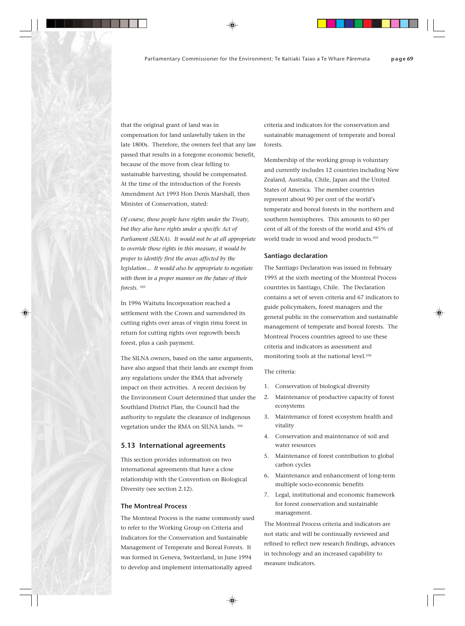that the original grant of land was in compensation for land unlawfully taken in the late 1800s. Therefore, the owners feel that any law passed that results in a foregone economic benefit, because of the move from clear felling to sustainable harvesting, should be compensated. At the time of the introduction of the Forests Amendment Act 1993 Hon Denis Marshall, then Minister of Conservation, stated:

*Of course, those people have rights under the Treaty, but they also have rights under a specific Act of Parliament (SILNA). It would not be at all appropriate to override those rights in this measure, it would be proper to identify first the areas affected by the legislation... It would also be appropriate to negotiate with them in a proper manner on the future of their forests.* <sup>103</sup>

In 1996 Waitutu Incorporation reached a settlement with the Crown and surrendered its cutting rights over areas of virgin rimu forest in return for cutting rights over regrowth beech forest, plus a cash payment.

The SILNA owners, based on the same arguments, have also argued that their lands are exempt from any regulations under the RMA that adversely impact on their activities. A recent decision by the Environment Court determined that under the Southland District Plan, the Council had the authority to regulate the clearance of indigenous vegetation under the RMA on SILNA lands. 104

## **5.13 International agreements**

This section provides information on two international agreements that have a close relationship with the Convention on Biological Diversity (see section 2.12).

## **The Montreal Process**

The Montreal Process is the name commonly used to refer to the Working Group on Criteria and Indicators for the Conservation and Sustainable Management of Temperate and Boreal Forests. It was formed in Geneva, Switzerland, in June 1994 to develop and implement internationally agreed

criteria and indicators for the conservation and sustainable management of temperate and boreal forests.

Membership of the working group is voluntary and currently includes 12 countries including New Zealand, Australia, Chile, Japan and the United States of America. The member countries represent about 90 per cent of the world's temperate and boreal forests in the northern and southern hemispheres. This amounts to 60 per cent of all of the forests of the world and 45% of world trade in wood and wood products.<sup>105</sup>

## **Santiago declaration**

The Santiago Declaration was issued in February 1995 at the sixth meeting of the Montreal Process countries in Santiago, Chile. The Declaration contains a set of seven criteria and 67 indicators to guide policymakers, forest managers and the general public in the conservation and sustainable management of temperate and boreal forests. The Montreal Process countries agreed to use these criteria and indicators as assessment and monitoring tools at the national level.<sup>106</sup>

#### The criteria:

- 1. Conservation of biological diversity
- 2. Maintenance of productive capacity of forest ecosystems
- 3. Maintenance of forest ecosystem health and vitality
- 4. Conservation and maintenance of soil and water resources
- 5. Maintenance of forest contribution to global carbon cycles
- 6. Maintenance and enhancement of long-term multiple socio-economic benefits
- 7. Legal, institutional and economic framework for forest conservation and sustainable management.

The Montreal Process criteria and indicators are not static and will be continually reviewed and refined to reflect new research findings, advances in technology and an increased capability to measure indicators.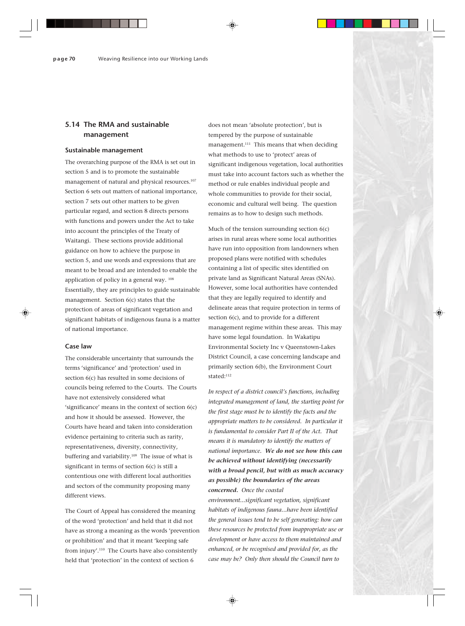## **5.14 The RMA and sustainable management**

#### **Sustainable management**

The overarching purpose of the RMA is set out in section 5 and is to promote the sustainable management of natural and physical resources.<sup>107</sup> Section 6 sets out matters of national importance, section 7 sets out other matters to be given particular regard, and section 8 directs persons with functions and powers under the Act to take into account the principles of the Treaty of Waitangi. These sections provide additional guidance on how to achieve the purpose in section 5, and use words and expressions that are meant to be broad and are intended to enable the application of policy in a general way. 108 Essentially, they are principles to guide sustainable management. Section 6(c) states that the protection of areas of significant vegetation and significant habitats of indigenous fauna is a matter of national importance.

## **Case law**

The considerable uncertainty that surrounds the terms 'significance' and 'protection' used in section 6(c) has resulted in some decisions of councils being referred to the Courts. The Courts have not extensively considered what 'significance' means in the context of section 6(c) and how it should be assessed. However, the Courts have heard and taken into consideration evidence pertaining to criteria such as rarity, representativeness, diversity, connectivity, buffering and variability.<sup>109</sup> The issue of what is significant in terms of section 6(c) is still a contentious one with different local authorities and sectors of the community proposing many different views.

The Court of Appeal has considered the meaning of the word 'protection' and held that it did not have as strong a meaning as the words 'prevention or prohibition' and that it meant 'keeping safe from injury'.110 The Courts have also consistently held that 'protection' in the context of section 6

does not mean 'absolute protection', but is tempered by the purpose of sustainable management.<sup>111</sup> This means that when deciding what methods to use to 'protect' areas of significant indigenous vegetation, local authorities must take into account factors such as whether the method or rule enables individual people and whole communities to provide for their social, economic and cultural well being. The question remains as to how to design such methods.

Much of the tension surrounding section 6(c) arises in rural areas where some local authorities have run into opposition from landowners when proposed plans were notified with schedules containing a list of specific sites identified on private land as Significant Natural Areas (SNAs). However, some local authorities have contended that they are legally required to identify and delineate areas that require protection in terms of section 6(c), and to provide for a different management regime within these areas. This may have some legal foundation. In Wakatipu Environmental Society Inc v Queenstown-Lakes District Council, a case concerning landscape and primarily section 6(b), the Environment Court stated:<sup>112</sup>

*In respect of a district council's functions, including integrated management of land, the starting point for the first stage must be to identify the facts and the appropriate matters to be considered. In particular it is fundamental to consider Part II of the Act. That means it is mandatory to identify the matters of national importance. We do not see how this can be achieved without identifying (necessarily with a broad pencil, but with as much accuracy as possible) the boundaries of the areas concerned. Once the coastal*

*environment...significant vegetation, significant habitats of indigenous fauna...have been identified the general issues tend to be self generating: how can these resources be protected from inappropriate use or development or have access to them maintained and enhanced, or be recognised and provided for, as the case may be? Only then should the Council turn to*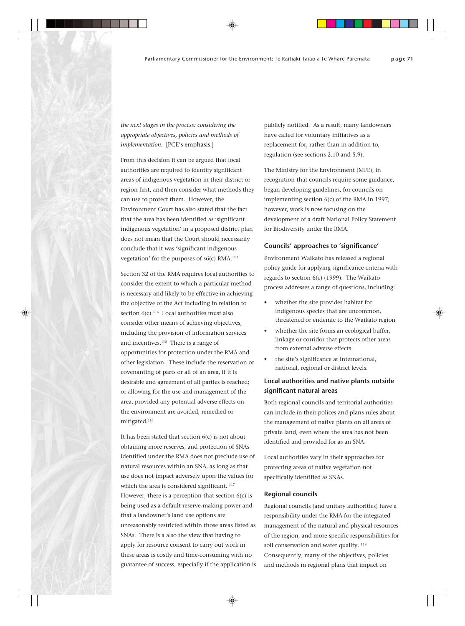*the next stages in the process: considering the appropriate objectives, policies and methods of implementation.* [PCE's emphasis.]

From this decision it can be argued that local authorities are required to identify significant areas of indigenous vegetation in their district or region first, and then consider what methods they can use to protect them. However, the Environment Court has also stated that the fact that the area has been identified as 'significant indigenous vegetation' in a proposed district plan does not mean that the Court should necessarily conclude that it was 'significant indigenous vegetation' for the purposes of s6(c) RMA.113

Section 32 of the RMA requires local authorities to consider the extent to which a particular method is necessary and likely to be effective in achieving the objective of the Act including in relation to section  $6(c)$ .<sup>114</sup> Local authorities must also consider other means of achieving objectives, including the provision of information services and incentives.<sup>115</sup> There is a range of opportunities for protection under the RMA and other legislation. These include the reservation or covenanting of parts or all of an area, if it is desirable and agreement of all parties is reached; or allowing for the use and management of the area, provided any potential adverse effects on the environment are avoided, remedied or mitigated.116

It has been stated that section 6(c) is not about obtaining more reserves, and protection of SNAs identified under the RMA does not preclude use of natural resources within an SNA, as long as that use does not impact adversely upon the values for which the area is considered significant.<sup>117</sup> However, there is a perception that section 6(c) is being used as a default reserve-making power and that a landowner's land use options are unreasonably restricted within those areas listed as SNAs. There is a also the view that having to apply for resource consent to carry out work in these areas is costly and time-consuming with no guarantee of success, especially if the application is

publicly notified. As a result, many landowners have called for voluntary initiatives as a replacement for, rather than in addition to, regulation (see sections 2.10 and 5.9).

The Ministry for the Environment (MFE), in recognition that councils require some guidance, began developing guidelines, for councils on implementing section 6(c) of the RMA in 1997; however, work is now focusing on the development of a draft National Policy Statement for Biodiversity under the RMA.

#### **Councils' approaches to 'significance'**

Environment Waikato has released a regional policy guide for applying significance criteria with regards to section 6(c) (1999). The Waikato process addresses a range of questions, including:

- whether the site provides habitat for indigenous species that are uncommon, threatened or endemic to the Waikato region
- whether the site forms an ecological buffer, linkage or corridor that protects other areas from external adverse effects
- the site's significance at international, national, regional or district levels.

## **Local authorities and native plants outside significant natural areas**

Both regional councils and territorial authorities can include in their polices and plans rules about the management of native plants on all areas of private land, even where the area has not been identified and provided for as an SNA.

Local authorities vary in their approaches for protecting areas of native vegetation not specifically identified as SNAs.

## **Regional councils**

Regional councils (and unitary authorities) have a responsibility under the RMA for the integrated management of the natural and physical resources of the region, and more specific responsibilities for soil conservation and water quality.  $119$ Consequently, many of the objectives, policies and methods in regional plans that impact on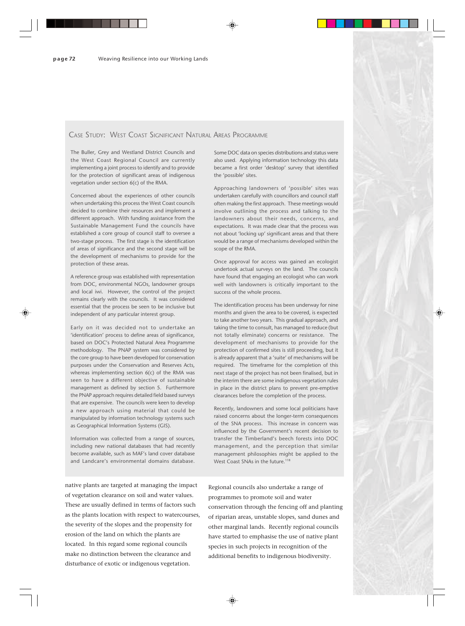## CASE STUDY: WEST COAST SIGNIFICANT NATURAL AREAS PROGRAMME

The Buller, Grey and Westland District Councils and the West Coast Regional Council are currently implementing a joint process to identify and to provide for the protection of significant areas of indigenous vegetation under section 6(c) of the RMA.

Concerned about the experiences of other councils when undertaking this process the West Coast councils decided to combine their resources and implement a different approach. With funding assistance from the Sustainable Management Fund the councils have established a core group of council staff to oversee a two-stage process. The first stage is the identification of areas of significance and the second stage will be the development of mechanisms to provide for the protection of these areas.

A reference group was established with representation from DOC, environmental NGOs, landowner groups and local iwi. However, the control of the project remains clearly with the councils. It was considered essential that the process be seen to be inclusive but independent of any particular interest group.

Early on it was decided not to undertake an 'identification' process to define areas of significance, based on DOC's Protected Natural Area Programme methodology. The PNAP system was considered by the core group to have been developed for conservation purposes under the Conservation and Reserves Acts, whereas implementing section 6(c) of the RMA was seen to have a different objective of sustainable management as defined by section 5. Furthermore the PNAP approach requires detailed field based surveys that are expensive. The councils were keen to develop a new approach using material that could be manipulated by information technology systems such as Geographical Information Systems (GIS).

Information was collected from a range of sources, including new national databases that had recently become available, such as MAF's land cover database and Landcare's environmental domains database.

native plants are targeted at managing the impact of vegetation clearance on soil and water values. These are usually defined in terms of factors such as the plants location with respect to watercourses, the severity of the slopes and the propensity for erosion of the land on which the plants are located. In this regard some regional councils make no distinction between the clearance and disturbance of exotic or indigenous vegetation.

Some DOC data on species distributions and status were also used. Applying information technology this data became a first order 'desktop' survey that identified the 'possible' sites.

Approaching landowners of 'possible' sites was undertaken carefully with councillors and council staff often making the first approach. These meetings would involve outlining the process and talking to the landowners about their needs, concerns, and expectations. It was made clear that the process was not about 'locking up' significant areas and that there would be a range of mechanisms developed within the scope of the RMA.

Once approval for access was gained an ecologist undertook actual surveys on the land. The councils have found that engaging an ecologist who can work well with landowners is critically important to the success of the whole process.

The identification process has been underway for nine months and given the area to be covered, is expected to take another two years. This gradual approach, and taking the time to consult, has managed to reduce (but not totally eliminate) concerns or resistance. The development of mechanisms to provide for the protection of confirmed sites is still proceeding, but it is already apparent that a 'suite' of mechanisms will be required. The timeframe for the completion of this next stage of the project has not been finalised, but in the interim there are some indigenous vegetation rules in place in the district plans to prevent pre-emptive clearances before the completion of the process.

Recently, landowners and some local politicians have raised concerns about the longer-term consequences of the SNA process. This increase in concern was influenced by the Government's recent decision to transfer the Timberland's beech forests into DOC management, and the perception that similar management philosophies might be applied to the West Coast SNAs in the future.<sup>118</sup>

Regional councils also undertake a range of programmes to promote soil and water conservation through the fencing off and planting of riparian areas, unstable slopes, sand dunes and other marginal lands. Recently regional councils have started to emphasise the use of native plant species in such projects in recognition of the additional benefits to indigenous biodiversity.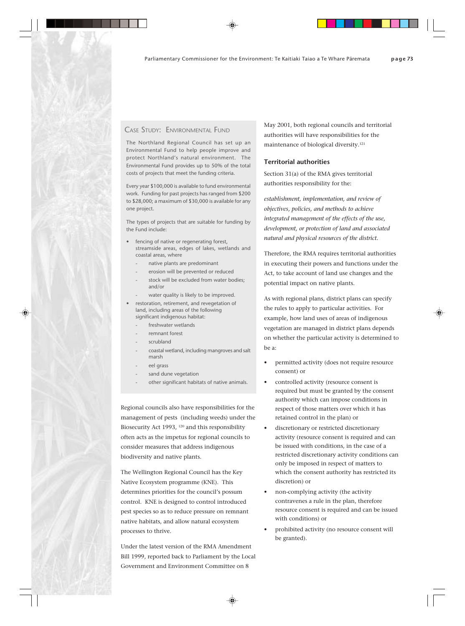## CASE STUDY: ENVIRONMENTAL FUND

The Northland Regional Council has set up an Environmental Fund to help people improve and protect Northland's natural environment. The Environmental Fund provides up to 50% of the total costs of projects that meet the funding criteria.

Every year \$100,000 is available to fund environmental work. Funding for past projects has ranged from \$200 to \$28,000; a maximum of \$30,000 is available for any one project.

The types of projects that are suitable for funding by the Fund include:

- fencing of native or regenerating forest, streamside areas, edges of lakes, wetlands and coastal areas, where
	- native plants are predominant
	- erosion will be prevented or reduced
	- stock will be excluded from water bodies; and/or
	- water quality is likely to be improved.
- restoration, retirement, and revegetation of land, including areas of the following significant indigenous habitat:
	- freshwater wetlands
	- remnant forest
	- scrubland
	- coastal wetland, including mangroves and salt marsh
	- eel grass
	- sand dune vegetation
	- other significant habitats of native animals.

Regional councils also have responsibilities for the management of pests (including weeds) under the Biosecurity Act 1993, <sup>120</sup> and this responsibility often acts as the impetus for regional councils to consider measures that address indigenous biodiversity and native plants.

The Wellington Regional Council has the Key Native Ecosystem programme (KNE). This determines priorities for the council's possum control. KNE is designed to control introduced pest species so as to reduce pressure on remnant native habitats, and allow natural ecosystem processes to thrive.

Under the latest version of the RMA Amendment Bill 1999, reported back to Parliament by the Local Government and Environment Committee on 8

May 2001, both regional councils and territorial authorities will have responsibilities for the maintenance of biological diversity.121

## **Territorial authorities**

Section 31(a) of the RMA gives territorial authorities responsibility for the:

*establishment, implementation, and review of objectives, policies, and methods to achieve integrated management of the effects of the use, development, or protection of land and associated natural and physical resources of the district.*

Therefore, the RMA requires territorial authorities in executing their powers and functions under the Act, to take account of land use changes and the potential impact on native plants.

As with regional plans, district plans can specify the rules to apply to particular activities. For example, how land uses of areas of indigenous vegetation are managed in district plans depends on whether the particular activity is determined to be a:

- permitted activity (does not require resource consent) or
- controlled activity (resource consent is required but must be granted by the consent authority which can impose conditions in respect of those matters over which it has retained control in the plan) or
- discretionary or restricted discretionary activity (resource consent is required and can be issued with conditions, in the case of a restricted discretionary activity conditions can only be imposed in respect of matters to which the consent authority has restricted its discretion) or
- non-complying activity (the activity contravenes a rule in the plan, therefore resource consent is required and can be issued with conditions) or
- prohibited activity (no resource consent will be granted).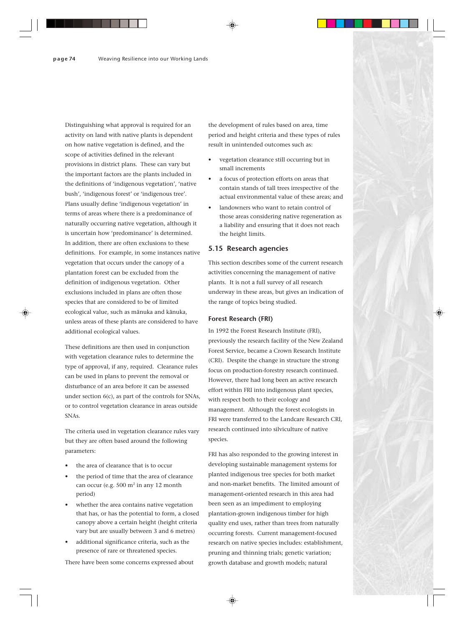Distinguishing what approval is required for an activity on land with native plants is dependent on how native vegetation is defined, and the scope of activities defined in the relevant provisions in district plans. These can vary but the important factors are the plants included in the definitions of 'indigenous vegetation', 'native bush', 'indigenous forest' or 'indigenous tree'. Plans usually define 'indigenous vegetation' in terms of areas where there is a predominance of naturally occurring native vegetation, although it is uncertain how 'predominance' is determined. In addition, there are often exclusions to these definitions. For example, in some instances native vegetation that occurs under the canopy of a plantation forest can be excluded from the definition of indigenous vegetation. Other exclusions included in plans are often those species that are considered to be of limited ecological value, such as mänuka and känuka, unless areas of these plants are considered to have additional ecological values.

These definitions are then used in conjunction with vegetation clearance rules to determine the type of approval, if any, required. Clearance rules can be used in plans to prevent the removal or disturbance of an area before it can be assessed under section 6(c), as part of the controls for SNAs, or to control vegetation clearance in areas outside SNAs.

The criteria used in vegetation clearance rules vary but they are often based around the following parameters:

- the area of clearance that is to occur
- the period of time that the area of clearance can occur (e.g.  $500 \text{ m}^2$  in any 12 month period)
- whether the area contains native vegetation that has, or has the potential to form, a closed canopy above a certain height (height criteria vary but are usually between 3 and 6 metres)
- additional significance criteria, such as the presence of rare or threatened species.

the development of rules based on area, time period and height criteria and these types of rules result in unintended outcomes such as:

- vegetation clearance still occurring but in small increments
- a focus of protection efforts on areas that contain stands of tall trees irrespective of the actual environmental value of these areas; and
- landowners who want to retain control of those areas considering native regeneration as a liability and ensuring that it does not reach the height limits.

## **5.15 Research agencies**

This section describes some of the current research activities concerning the management of native plants. It is not a full survey of all research underway in these areas, but gives an indication of the range of topics being studied.

#### **Forest Research (FRI)**

In 1992 the Forest Research Institute (FRI), previously the research facility of the New Zealand Forest Service, became a Crown Research Institute (CRI). Despite the change in structure the strong focus on production-forestry research continued. However, there had long been an active research effort within FRI into indigenous plant species, with respect both to their ecology and management. Although the forest ecologists in FRI were transferred to the Landcare Research CRI, research continued into silviculture of native species.

FRI has also responded to the growing interest in developing sustainable management systems for planted indigenous tree species for both market and non-market benefits. The limited amount of management-oriented research in this area had been seen as an impediment to employing plantation-grown indigenous timber for high quality end uses, rather than trees from naturally occurring forests. Current management-focused research on native species includes: establishment, pruning and thinning trials; genetic variation; growth database and growth models; natural

There have been some concerns expressed about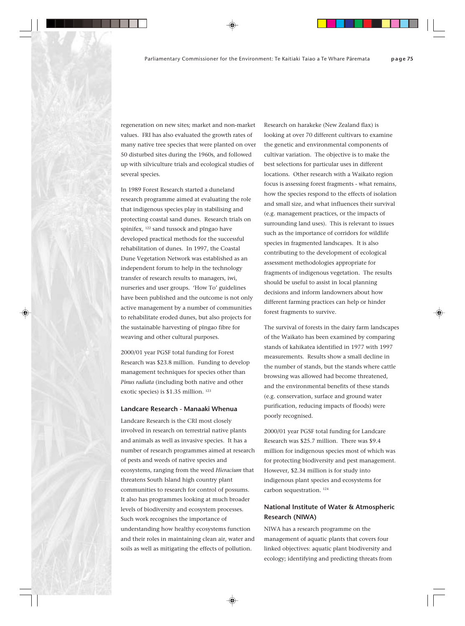regeneration on new sites; market and non-market values. FRI has also evaluated the growth rates of many native tree species that were planted on over 50 disturbed sites during the 1960s, and followed up with silviculture trials and ecological studies of several species.

In 1989 Forest Research started a duneland research programme aimed at evaluating the role that indigenous species play in stabilising and protecting coastal sand dunes. Research trials on spinifex, 122 sand tussock and pïngao have developed practical methods for the successful rehabilitation of dunes. In 1997, the Coastal Dune Vegetation Network was established as an independent forum to help in the technology transfer of research results to managers, iwi, nurseries and user groups. 'How To' guidelines have been published and the outcome is not only active management by a number of communities to rehabilitate eroded dunes, but also projects for the sustainable harvesting of pïngao fibre for weaving and other cultural purposes.

2000/01 year PGSF total funding for Forest Research was \$23.8 million. Funding to develop management techniques for species other than *Pinus radiata* (including both native and other exotic species) is \$1.35 million. 123

## **Landcare Research - Manaaki Whenua**

Landcare Research is the CRI most closely involved in research on terrestrial native plants and animals as well as invasive species. It has a number of research programmes aimed at research of pests and weeds of native species and ecosystems, ranging from the weed *Hieracium* that threatens South Island high country plant communities to research for control of possums. It also has programmes looking at much broader levels of biodiversity and ecosystem processes. Such work recognises the importance of understanding how healthy ecosystems function and their roles in maintaining clean air, water and soils as well as mitigating the effects of pollution.

Research on harakeke (New Zealand flax) is looking at over 70 different cultivars to examine the genetic and environmental components of cultivar variation. The objective is to make the best selections for particular uses in different locations. Other research with a Waikato region focus is assessing forest fragments - what remains, how the species respond to the effects of isolation and small size, and what influences their survival (e.g. management practices, or the impacts of surrounding land uses). This is relevant to issues such as the importance of corridors for wildlife species in fragmented landscapes. It is also contributing to the development of ecological assessment methodologies appropriate for fragments of indigenous vegetation. The results should be useful to assist in local planning decisions and inform landowners about how different farming practices can help or hinder forest fragments to survive.

The survival of forests in the dairy farm landscapes of the Waikato has been examined by comparing stands of kahikatea identified in 1977 with 1997 measurements. Results show a small decline in the number of stands, but the stands where cattle browsing was allowed had become threatened, and the environmental benefits of these stands (e.g. conservation, surface and ground water purification, reducing impacts of floods) were poorly recognised.

2000/01 year PGSF total funding for Landcare Research was \$25.7 million. There was \$9.4 million for indigenous species most of which was for protecting biodiversity and pest management. However, \$2.34 million is for study into indigenous plant species and ecosystems for carbon sequestration. 124

## **National Institute of Water & Atmospheric Research (NIWA)**

NIWA has a research programme on the management of aquatic plants that covers four linked objectives: aquatic plant biodiversity and ecology; identifying and predicting threats from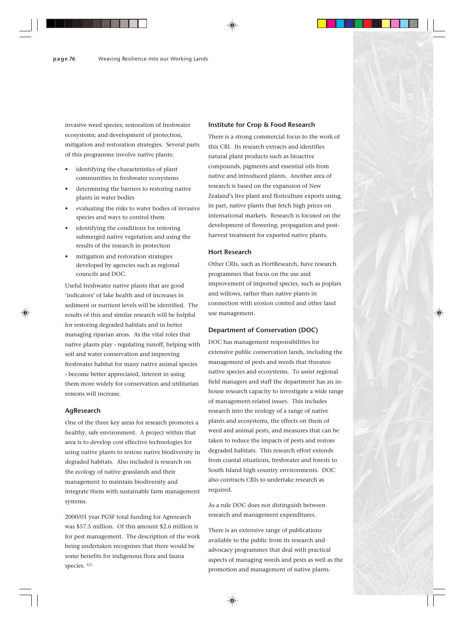invasive weed species; restoration of freshwater ecosystems; and development of protection, mitigation and restoration strategies. Several parts of this programme involve native plants:

- identifying the characteristics of plant communities in freshwater ecosystems
- determining the barriers to restoring native plants in water bodies
- evaluating the risks to water bodies of invasive species and ways to control them
- identifying the conditions for restoring submerged native vegetation and using the results of the research in protection
- mitigation and restoration strategies developed by agencies such as regional councils and DOC.

Useful freshwater native plants that are good 'indicators' of lake health and of increases in sediment or nutrient levels will be identified. The results of this and similar research will be helpful for restoring degraded habitats and in better managing riparian areas. As the vital roles that native plants play - regulating runoff, helping with soil and water conservation and improving freshwater habitat for many native animal species - become better appreciated, interest in using them more widely for conservation and utilitarian reasons will increase.

## **AgResearch**

One of the three key areas for research promotes a healthy, safe environment. A project within that area is to develop cost effective technologies for using native plants to restore native biodiversity in degraded habitats. Also included is research on the ecology of native grasslands and their management to maintain biodiversity and integrate them with sustainable farm management systems.

2000/01 year PGSF total funding for Agresearch was \$57.5 million. Of this amount \$2.6 million is for pest management. The description of the work being undertaken recognises that there would be some benefits for indigenous flora and fauna species. 125

#### **Institute for Crop & Food Research**

There is a strong commercial focus to the work of this CRI. Its research extracts and identifies natural plant products such as bioactive compounds, pigments and essential oils from native and introduced plants. Another area of research is based on the expansion of New Zealand's live plant and floriculture exports using, in part, native plants that fetch high prices on international markets. Research is focused on the development of flowering, propagation and postharvest treatment for exported native plants.

## **Hort Research**

Other CRIs, such as HortResearch, have research programmes that focus on the use and improvement of imported species, such as poplars and willows, rather than native plants in connection with erosion control and other land use management.

## **Department of Conservation (DOC)**

DOC has management responsibilities for extensive public conservation lands, including the management of pests and weeds that threaten native species and ecosystems. To assist regional field managers and staff the department has an inhouse research capacity to investigate a wide range of management-related issues. This includes research into the ecology of a range of native plants and ecosystems, the effects on them of weed and animal pests, and measures that can be taken to reduce the impacts of pests and restore degraded habitats. This research effort extends from coastal situations, freshwater and forests to South Island high country environments. DOC also contracts CRIs to undertake research as required.

As a rule DOC does not distinguish between research and management expenditures.

There is an extensive range of publications available to the public from its research and advocacy programmes that deal with practical aspects of managing weeds and pests as well as the promotion and management of native plants.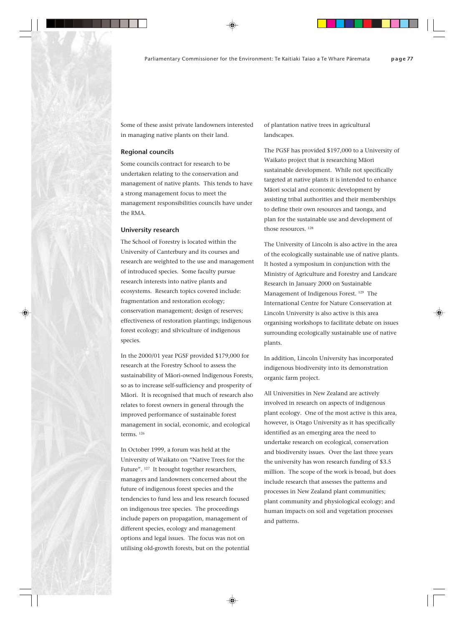Some of these assist private landowners interested in managing native plants on their land.

## **Regional councils**

Some councils contract for research to be undertaken relating to the conservation and management of native plants. This tends to have a strong management focus to meet the management responsibilities councils have under the RMA.

#### **University research**

The School of Forestry is located within the University of Canterbury and its courses and research are weighted to the use and management of introduced species. Some faculty pursue research interests into native plants and ecosystems. Research topics covered include: fragmentation and restoration ecology; conservation management; design of reserves; effectiveness of restoration plantings; indigenous forest ecology; and silviculture of indigenous species.

In the 2000/01 year PGSF provided \$179,000 for research at the Forestry School to assess the sustainability of Mäori-owned Indigenous Forests, so as to increase self-sufficiency and prosperity of Mäori. It is recognised that much of research also relates to forest owners in general through the improved performance of sustainable forest management in social, economic, and ecological terms. 126

In October 1999, a forum was held at the University of Waikato on "Native Trees for the Future". 127 It brought together researchers, managers and landowners concerned about the future of indigenous forest species and the tendencies to fund less and less research focused on indigenous tree species. The proceedings include papers on propagation, management of different species, ecology and management options and legal issues. The focus was not on utilising old-growth forests, but on the potential of plantation native trees in agricultural landscapes.

The PGSF has provided \$197,000 to a University of Waikato project that is researching Mäori sustainable development. While not specifically targeted at native plants it is intended to enhance Mäori social and economic development by assisting tribal authorities and their memberships to define their own resources and taonga, and plan for the sustainable use and development of those resources.<sup>128</sup>

The University of Lincoln is also active in the area of the ecologically sustainable use of native plants. It hosted a symposium in conjunction with the Ministry of Agriculture and Forestry and Landcare Research in January 2000 on Sustainable Management of Indigenous Forest. 129 The International Centre for Nature Conservation at Lincoln University is also active is this area organising workshops to facilitate debate on issues surrounding ecologically sustainable use of native plants.

In addition, Lincoln University has incorporated indigenous biodiversity into its demonstration organic farm project.

All Universities in New Zealand are actively involved in research on aspects of indigenous plant ecology. One of the most active is this area, however, is Otago University as it has specifically identified as an emerging area the need to undertake research on ecological, conservation and biodiversity issues. Over the last three years the university has won research funding of \$3.5 million. The scope of the work is broad, but does include research that assesses the patterns and processes in New Zealand plant communities; plant community and physiological ecology; and human impacts on soil and vegetation processes and patterns.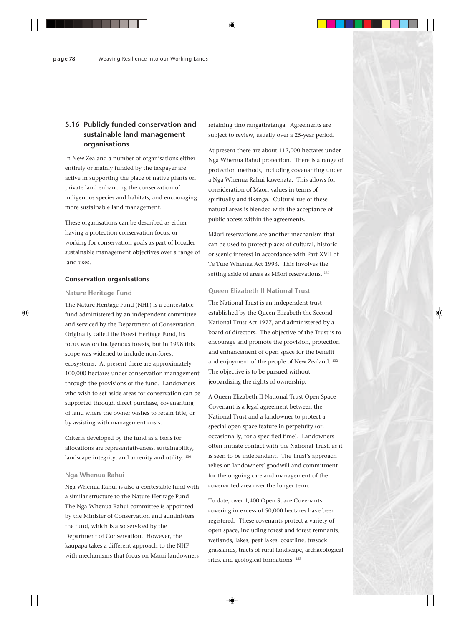## **5.16 Publicly funded conservation and sustainable land management organisations**

In New Zealand a number of organisations either entirely or mainly funded by the taxpayer are active in supporting the place of native plants on private land enhancing the conservation of indigenous species and habitats, and encouraging more sustainable land management.

These organisations can be described as either having a protection conservation focus, or working for conservation goals as part of broader sustainable management objectives over a range of land uses.

## **Conservation organisations**

## **Nature Heritage Fund**

The Nature Heritage Fund (NHF) is a contestable fund administered by an independent committee and serviced by the Department of Conservation. Originally called the Forest Heritage Fund, its focus was on indigenous forests, but in 1998 this scope was widened to include non-forest ecosystems. At present there are approximately 100,000 hectares under conservation management through the provisions of the fund. Landowners who wish to set aside areas for conservation can be supported through direct purchase, covenanting of land where the owner wishes to retain title, or by assisting with management costs.

Criteria developed by the fund as a basis for allocations are representativeness, sustainability, landscape integrity, and amenity and utility. 130

## **Nga Whenua Rahui**

Nga Whenua Rahui is also a contestable fund with a similar structure to the Nature Heritage Fund. The Nga Whenua Rahui committee is appointed by the Minister of Conservation and administers the fund, which is also serviced by the Department of Conservation. However, the kaupapa takes a different approach to the NHF with mechanisms that focus on Mäori landowners

retaining tino rangatiratanga. Agreements are subject to review, usually over a 25-year period.

At present there are about 112,000 hectares under Nga Whenua Rahui protection. There is a range of protection methods, including covenanting under a Nga Whenua Rahui kawenata. This allows for consideration of Mäori values in terms of spiritually and tikanga. Cultural use of these natural areas is blended with the acceptance of public access within the agreements.

Mäori reservations are another mechanism that can be used to protect places of cultural, historic or scenic interest in accordance with Part XVII of Te Ture Whenua Act 1993. This involves the setting aside of areas as Māori reservations.<sup>131</sup>

## **Queen Elizabeth II National Trust**

The National Trust is an independent trust established by the Queen Elizabeth the Second National Trust Act 1977, and administered by a board of directors. The objective of the Trust is to encourage and promote the provision, protection and enhancement of open space for the benefit and enjoyment of the people of New Zealand. 132 The objective is to be pursued without jeopardising the rights of ownership.

A Queen Elizabeth II National Trust Open Space Covenant is a legal agreement between the National Trust and a landowner to protect a special open space feature in perpetuity (or, occasionally, for a specified time). Landowners often initiate contact with the National Trust, as it is seen to be independent. The Trust's approach relies on landowners' goodwill and commitment for the ongoing care and management of the covenanted area over the longer term.

To date, over 1,400 Open Space Covenants covering in excess of 50,000 hectares have been registered. These covenants protect a variety of open space, including forest and forest remnants, wetlands, lakes, peat lakes, coastline, tussock grasslands, tracts of rural landscape, archaeological sites, and geological formations.<sup>133</sup>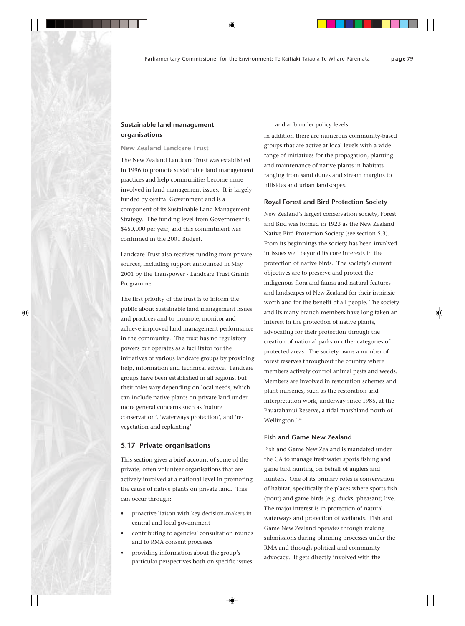## **Sustainable land management organisations**

## **New Zealand Landcare Trust**

The New Zealand Landcare Trust was established in 1996 to promote sustainable land management practices and help communities become more involved in land management issues. It is largely funded by central Government and is a component of its Sustainable Land Management Strategy. The funding level from Government is \$450,000 per year, and this commitment was confirmed in the 2001 Budget.

Landcare Trust also receives funding from private sources, including support announced in May 2001 by the Transpower - Landcare Trust Grants Programme.

The first priority of the trust is to inform the public about sustainable land management issues and practices and to promote, monitor and achieve improved land management performance in the community. The trust has no regulatory powers but operates as a facilitator for the initiatives of various landcare groups by providing help, information and technical advice. Landcare groups have been established in all regions, but their roles vary depending on local needs, which can include native plants on private land under more general concerns such as 'nature conservation', 'waterways protection', and 'revegetation and replanting'.

## **5.17 Private organisations**

This section gives a brief account of some of the private, often volunteer organisations that are actively involved at a national level in promoting the cause of native plants on private land. This can occur through:

- proactive liaison with key decision-makers in central and local government
- contributing to agencies' consultation rounds and to RMA consent processes
- providing information about the group's particular perspectives both on specific issues

and at broader policy levels.

In addition there are numerous community-based groups that are active at local levels with a wide range of initiatives for the propagation, planting and maintenance of native plants in habitats ranging from sand dunes and stream margins to hillsides and urban landscapes.

#### **Royal Forest and Bird Protection Society**

New Zealand's largest conservation society, Forest and Bird was formed in 1923 as the New Zealand Native Bird Protection Society (see section 5.3). From its beginnings the society has been involved in issues well beyond its core interests in the protection of native birds. The society's current objectives are to preserve and protect the indigenous flora and fauna and natural features and landscapes of New Zealand for their intrinsic worth and for the benefit of all people. The society and its many branch members have long taken an interest in the protection of native plants, advocating for their protection through the creation of national parks or other categories of protected areas. The society owns a number of forest reserves throughout the country where members actively control animal pests and weeds. Members are involved in restoration schemes and plant nurseries, such as the restoration and interpretation work, underway since 1985, at the Pauatahanui Reserve, a tidal marshland north of Wellington.134

## **Fish and Game New Zealand**

Fish and Game New Zealand is mandated under the CA to manage freshwater sports fishing and game bird hunting on behalf of anglers and hunters. One of its primary roles is conservation of habitat, specifically the places where sports fish (trout) and game birds (e.g. ducks, pheasant) live. The major interest is in protection of natural waterways and protection of wetlands. Fish and Game New Zealand operates through making submissions during planning processes under the RMA and through political and community advocacy. It gets directly involved with the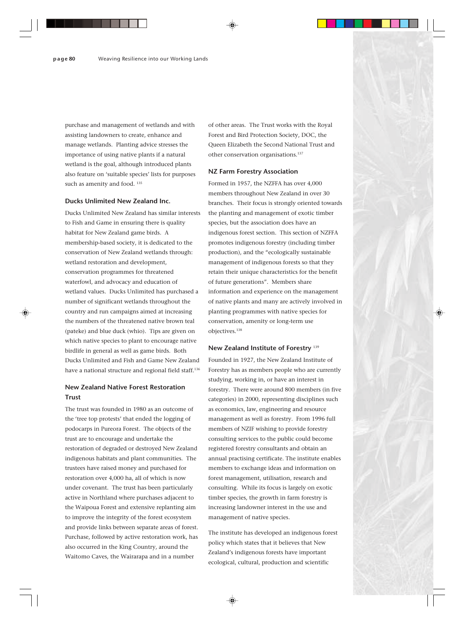purchase and management of wetlands and with assisting landowners to create, enhance and manage wetlands. Planting advice stresses the importance of using native plants if a natural wetland is the goal, although introduced plants also feature on 'suitable species' lists for purposes such as amenity and food.  $^{135}$ 

## **Ducks Unlimited New Zealand Inc.**

Ducks Unlimited New Zealand has similar interests to Fish and Game in ensuring there is quality habitat for New Zealand game birds. A membership-based society, it is dedicated to the conservation of New Zealand wetlands through: wetland restoration and development, conservation programmes for threatened waterfowl, and advocacy and education of wetland values. Ducks Unlimited has purchased a number of significant wetlands throughout the country and run campaigns aimed at increasing the numbers of the threatened native brown teal (pateke) and blue duck (whio). Tips are given on which native species to plant to encourage native birdlife in general as well as game birds. Both Ducks Unlimited and Fish and Game New Zealand have a national structure and regional field staff.<sup>136</sup>

## **New Zealand Native Forest Restoration Trust**

The trust was founded in 1980 as an outcome of the 'tree top protests' that ended the logging of podocarps in Pureora Forest. The objects of the trust are to encourage and undertake the restoration of degraded or destroyed New Zealand indigenous habitats and plant communities. The trustees have raised money and purchased for restoration over 4,000 ha, all of which is now under covenant. The trust has been particularly active in Northland where purchases adjacent to the Waipoua Forest and extensive replanting aim to improve the integrity of the forest ecosystem and provide links between separate areas of forest. Purchase, followed by active restoration work, has also occurred in the King Country, around the Waitomo Caves, the Wairarapa and in a number

of other areas. The Trust works with the Royal Forest and Bird Protection Society, DOC, the Queen Elizabeth the Second National Trust and other conservation organisations.137

## **NZ Farm Forestry Association**

Formed in 1957, the NZFFA has over 4,000 members throughout New Zealand in over 30 branches. Their focus is strongly oriented towards the planting and management of exotic timber species, but the association does have an indigenous forest section. This section of NZFFA promotes indigenous forestry (including timber production), and the "ecologically sustainable management of indigenous forests so that they retain their unique characteristics for the benefit of future generations". Members share information and experience on the management of native plants and many are actively involved in planting programmes with native species for conservation, amenity or long-term use objectives.138

## **New Zealand Institute of Forestry** <sup>139</sup>

Founded in 1927, the New Zealand Institute of Forestry has as members people who are currently studying, working in, or have an interest in forestry. There were around 800 members (in five categories) in 2000, representing disciplines such as economics, law, engineering and resource management as well as forestry. From 1996 full members of NZIF wishing to provide forestry consulting services to the public could become registered forestry consultants and obtain an annual practising certificate. The institute enables members to exchange ideas and information on forest management, utilisation, research and consulting. While its focus is largely on exotic timber species, the growth in farm forestry is increasing landowner interest in the use and management of native species.

The institute has developed an indigenous forest policy which states that it believes that New Zealand's indigenous forests have important ecological, cultural, production and scientific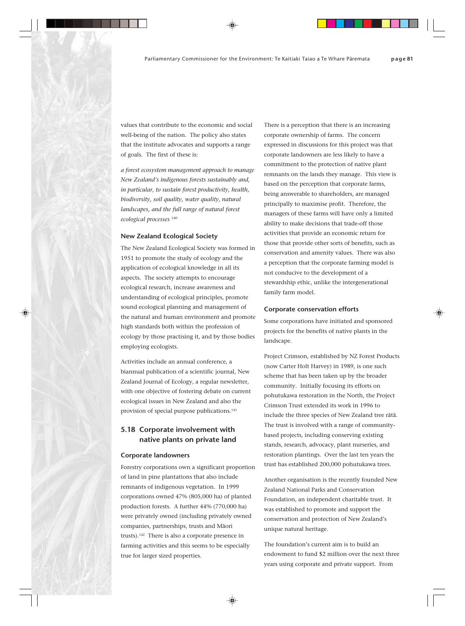values that contribute to the economic and social well-being of the nation. The policy also states that the institute advocates and supports a range of goals. The first of these is:

*a forest ecosystem management approach to manage New Zealand's indigenous forests sustainably and, in particular, to sustain forest productivity, health, biodiversity, soil quality, water quality, natural landscapes, and the full range of natural forest ecological processes* <sup>140</sup>

## **New Zealand Ecological Society**

The New Zealand Ecological Society was formed in 1951 to promote the study of ecology and the application of ecological knowledge in all its aspects. The society attempts to encourage ecological research, increase awareness and understanding of ecological principles, promote sound ecological planning and management of the natural and human environment and promote high standards both within the profession of ecology by those practising it, and by those bodies employing ecologists.

Activities include an annual conference, a biannual publication of a scientific journal, New Zealand Journal of Ecology, a regular newsletter, with one objective of fostering debate on current ecological issues in New Zealand and also the provision of special purpose publications.<sup>141</sup>

## **5.18 Corporate involvement with native plants on private land**

#### **Corporate landowners**

Forestry corporations own a significant proportion of land in pine plantations that also include remnants of indigenous vegetation. In 1999 corporations owned 47% (805,000 ha) of planted production forests. A further 44% (770,000 ha) were privately owned (including privately owned companies, partnerships, trusts and Mäori trusts).142 There is also a corporate presence in farming activities and this seems to be especially true for larger sized properties.

There is a perception that there is an increasing corporate ownership of farms. The concern expressed in discussions for this project was that corporate landowners are less likely to have a commitment to the protection of native plant remnants on the lands they manage. This view is based on the perception that corporate farms, being answerable to shareholders, are managed principally to maximise profit. Therefore, the managers of these farms will have only a limited ability to make decisions that trade-off those activities that provide an economic return for those that provide other sorts of benefits, such as conservation and amenity values. There was also a perception that the corporate farming model is not conducive to the development of a stewardship ethic, unlike the intergenerational family farm model.

#### **Corporate conservation efforts**

Some corporations have initiated and sponsored projects for the benefits of native plants in the landscape.

Project Crimson, established by NZ Forest Products (now Carter Holt Harvey) in 1989, is one such scheme that has been taken up by the broader community. Initially focusing its efforts on pohutukawa restoration in the North, the Project Crimson Trust extended its work in 1996 to include the three species of New Zealand tree rätä. The trust is involved with a range of communitybased projects, including conserving existing stands, research, advocacy, plant nurseries, and restoration plantings. Over the last ten years the trust has established 200,000 pohutukawa trees.

Another organisation is the recently founded New Zealand National Parks and Conservation Foundation, an independent charitable trust. It was established to promote and support the conservation and protection of New Zealand's unique natural heritage.

The foundation's current aim is to build an endowment to fund \$2 million over the next three years using corporate and private support. From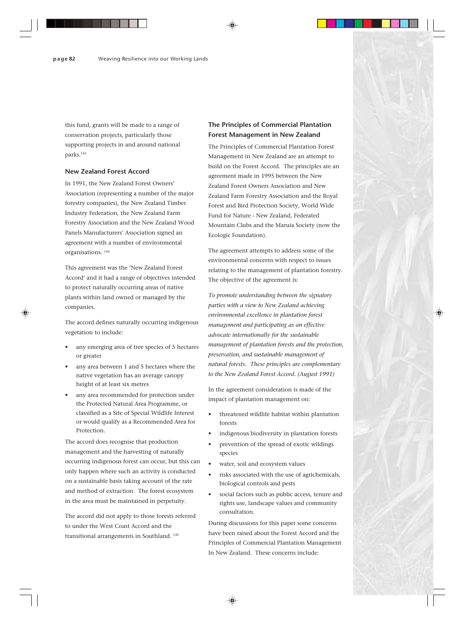this fund, grants will be made to a range of conservation projects, particularly those supporting projects in and around national parks.143

## **New Zealand Forest Accord**

In 1991, the New Zealand Forest Owners' Association (representing a number of the major forestry companies), the New Zealand Timber Industry Federation, the New Zealand Farm Forestry Association and the New Zealand Wood Panels Manufacturers' Association signed an agreement with a number of environmental organisations. 144

This agreement was the 'New Zealand Forest Accord' and it had a range of objectives intended to protect naturally occurring areas of native plants within land owned or managed by the companies.

The accord defines naturally occurring indigenous vegetation to include:

- any emerging area of tree species of 5 hectares or greater
- any area between 1 and 5 hectares where the native vegetation has an average canopy height of at least six metres
- any area recommended for protection under the Protected Natural Area Programme, or classified as a Site of Special Wildlife Interest or would qualify as a Recommended Area for Protection.

The accord does recognise that production management and the harvesting of naturally occurring indigenous forest can occur, but this can only happen where such an activity is conducted on a sustainable basis taking account of the rate and method of extraction. The forest ecosystem in the area must be maintained in perpetuity.

The accord did not apply to those forests referred to under the West Coast Accord and the transitional arrangements in Southland. 145

## **The Principles of Commercial Plantation Forest Management in New Zealand**

The Principles of Commercial Plantation Forest Management in New Zealand are an attempt to build on the Forest Accord. The principles are an agreement made in 1995 between the New Zealand Forest Owners Association and New Zealand Farm Forestry Association and the Royal Forest and Bird Protection Society, World Wide Fund for Nature - New Zealand, Federated Mountain Clubs and the Maruia Society (now the Ecologic Foundation).

The agreement attempts to address some of the environmental concerns with respect to issues relating to the management of plantation forestry. The objective of the agreement is:

*To promote understanding between the signatory parties with a view to New Zealand achieving environmental excellence in plantation forest management and participating as an effective advocate internationally for the sustainable management of plantation forests and the protection, preservation, and sustainable management of natural forests. These principles are complementary to the New Zealand Forest Accord. (August 1991)*

In the agreement consideration is made of the impact of plantation management on:

- threatened wildlife habitat within plantation forests
- indigenous biodiversity in plantation forests
- prevention of the spread of exotic wildings species
- water, soil and ecosystem values
- risks associated with the use of agrichemicals, biological controls and pests
- social factors such as public access, tenure and rights use, landscape values and community consultation.

During discussions for this paper some concerns have been raised about the Forest Accord and the Principles of Commercial Plantation Management In New Zealand. These concerns include: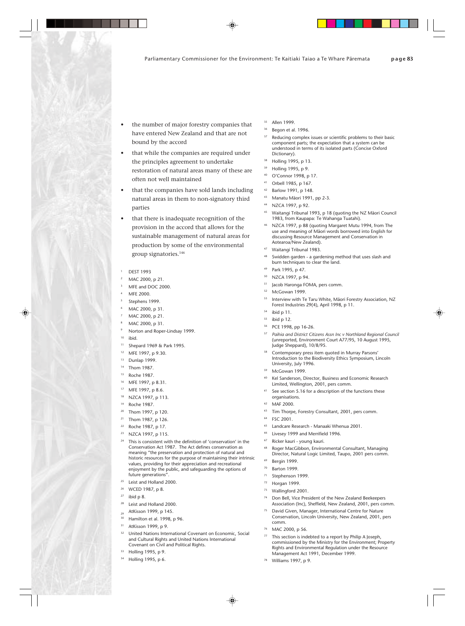- the number of major forestry companies that have entered New Zealand and that are not bound by the accord
- that while the companies are required under the principles agreement to undertake restoration of natural areas many of these are often not well maintained
- that the companies have sold lands including natural areas in them to non-signatory third parties
- that there is inadequate recognition of the provision in the accord that allows for the sustainable management of natural areas for production by some of the environmental group signatories.146
- DEST 1993
- MAC 2000, p 21.
- MFE and DOC 2000.
- MFF 2000.
- <sup>5</sup> Stephens 1999.
- MAC 2000, p 31.
- MAC 2000, p 21.
- MAC 2000, p 31.
- Norton and Roper-Lindsay 1999.
- $10$  ibid.
- <sup>11</sup> Shepard 1969 & Park 1995.
- <sup>12</sup> MFE 1997, p 9.30.
- <sup>13</sup> Dunlap 1999.
- <sup>14</sup> Thom 1987.
- <sup>15</sup> Roche 1987.
- <sup>16</sup> MFE 1997, p 8.31.
- <sup>17</sup> MFE 1997, p 8.6.
- <sup>18</sup> NZCA 1997, p 113.
- <sup>19</sup> Roche 1987.
- <sup>20</sup> Thom 1997, p 120.
- <sup>21</sup> Thom 1987, p 126.
- <sup>22</sup> Roche 1987, p 17.
- <sup>23</sup> NZCA 1997, p 115.
- This is consistent with the definition of 'conservation' in the Conservation Act 1987. The Act defines conservation as meaning "the preservation and protection of natural and historic resources for the purpose of maintaining their intrinsic values, providing for their appreciation and recreational enjoyment by the public, and safeguarding the options of future generations".
- Leist and Holland 2000.
- <sup>26</sup> WCED 1987, p 8.
- $27$  ibid p 8.
- Leist and Holland 2000.
- AtKisson 1999, p 145.
- Hamilton et al. 1998, p 96.
- <sup>31</sup> AtKisson 1999, p 9.
- <sup>32</sup> United Nations International Covenant on Economic, Social and Cultural Rights and United Nations International Covenant on Civil and Political Rights.
- Holling 1995, p 9.
- Holling 1995, p 6.
- Allen 1999
- Begon et al. 1996.
- <sup>37</sup> Reducing complex issues or scientific problems to their basic component parts; the expectation that a system can be understood in terms of its isolated parts (Concise Oxford Dictionary).
- Holling 1995, p 13.
- Holling 1995, p 9.
- <sup>40</sup> O'Connor 1998, p 17.
- Orbell 1985, p 167.
- Barlow 1991, p 148.
- <sup>43</sup> Manatu Mäori 1991, pp 2-3.
- NZCA 1997, p 92.
- <sup>45</sup> Waitangi Tribunal 1993, p 18 (quoting the NZ Mäori Council 1983, from Kaupapa: Te Wahanga Tuatahi).
- NZCA 1997, p 88 (quoting Margaret Mutu 1994, from The use and meaning of Mäori words borrowed into English for discussing Resource Management and Conservation in Aotearoa/New Zealand).
- <sup>47</sup> Waitangi Tribunal 1983.
- Swidden garden a gardening method that uses slash and burn techniques to clear the land.
- Park 1995, p 47.
- NZCA 1997, p 94.
- <sup>51</sup> Jacob Haronga FOMA, pers comm.
- McGowan 1999.
- Interview with Te Taru White, Māori Forestry Association, NZ Forest Industries 29(4), April 1998, p 11.
- ibid p 11.
- ibid p 12.
- <sup>56</sup> PCE 1998, pp 16-26.
- <sup>57</sup> *Paihia and District Citizens Assn Inc v Northland Regional Council* (unreported, Environment Court A77/95, 10 August 1995, Judge Sheppard), 10/8/95.
- <sup>58</sup> Contemporary press item quoted in Murray Parsons' Introduction to the Biodiversity Ethics Symposium, Lincoln University, July 1996.
- McGowan 1999.
- Kel Sanderson, Director, Business and Economic Research Limited, Wellington, 2001, pers comm.
- See section 5.16 for a description of the functions these organisations.
- <sup>62</sup> MAF 2000.
- Tim Thorpe, Forestry Consultant, 2001, pers comm.
- **FSC 2001.**
- Landcare Research Manaaki Whenua 2001.
- Livesey 1999 and Merrifield 1996.
- Ricker kauri young kauri.
- Roger MacGibbon, Environmental Consultant, Managing Director, Natural Logic Limited, Taupo, 2001 pers comm.
- Bergin 1999.
- <sup>70</sup> Barton 1999.
- <sup>71</sup> Stephenson 1999.
- <sup>72</sup> Horgan 1999.
- <sup>73</sup> Wallingford 2001.
- Don Bell, Vice President of the New Zealand Beekeepers Association (Inc), Sheffield, New Zealand, 2001, pers comm.
- David Given, Manager, International Centre for Nature Conservation, Lincoln University, New Zealand, 2001, pers comm.
- MAC 2000, p 56.
- This section is indebted to a report by Philip A Joseph, commissioned by the Ministry for the Environment; Property Rights and Environmental Regulation under the Resource Management Act 1991, December 1999.
- <sup>78</sup> Williams 1997, p 9.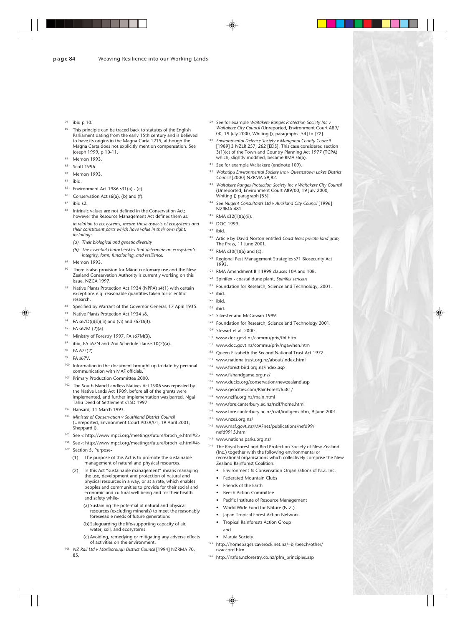- ibid p 10.
- This principle can be traced back to statutes of the English Parliament dating from the early 15th century and is believed to have its origins in the Magna Carta 1215, although the Magna Carta does not explicitly mention compensation. See Joseph 1999, p 10-11.
- Memon 1993.
- Scott 1996
- **Memon 1993**
- ihid.
- Environment Act 1986 s31(a) (e).
- Conservation Act s6(a), (b) and (f).
- ihid s2.
- Intrinsic values are not defined in the Conservation Act; however the Resource Management Act defines them as: *in relation to ecosystems, means those aspects of ecosystems and their constituent parts which have value in their own right, including:*
	- *(a) Their biological and genetic diversity*
	- *(b) The essential characteristics that determine an ecosystem's integrity, form, functioning, and resilience.*
- Memon 1993.
- There is also provision for Māori customary use and the New Zealand Conservation Authority is currently working on this issue, NZCA 1997.
- Native Plants Protection Act 1934 (NPPA) s4(1) with certain exceptions e.g. reasonable quantities taken for scientific research.
- <sup>92</sup> Specified by Warrant of the Governor General, 17 April 1935.
- 93 Native Plants Protection Act 1934 s8.
- $94$  FA s67D(i)(b)(iii) and (vi) and s67D(3).
- <sup>95</sup> FA s67M (2)(a).
- <sup>96</sup> Ministry of Forestry 1997, FA s67M(3).
- <sup>97</sup> ibid, FA s67N and 2nd Schedule clause  $10(2)(a)$ .
- <sup>98</sup> FA 67F(2).
- **FA s67V.**
- Information in the document brought up to date by personal communication with MAF officials.
- 101 Primary Production Committee 2000.
- 102 The South Island Landless Natives Act 1906 was repealed by the Native Lands Act 1909, before all of the grants were implemented, and further implementation was barred. Ngai Tahu Deed of Settlement s15D 1997.
- <sup>103</sup> Hansard, 11 March 1993.
- **Minister of Conservation v Southland District Council** (Unreported, Environment Court A039/01, 19 April 2001, Sheppard J).
- <sup>105</sup> See < http://www.mpci.org/meetings/future/broch\_e.html#2>
- <sup>106</sup> See < http://www.mpci.org/meetings/future/broch\_e.html#4>
- <sup>107</sup> Section 5. Purpose-
	- (1) The purpose of this Act is to promote the sustainable management of natural and physical resources.
	- (2) In this Act "sustainable management" means managing the use, development and protection of natural and physical resources in a way, or at a rate, which enables peoples and communities to provide for their social and economic and cultural well being and for their health and safety while-
		- (a) Sustaining the potential of natural and physical resources (excluding minerals) to meet the reasonably foreseeable needs of future generations
		- (b)Safeguarding the life-supporting capacity of air, water, soil, and ecosystems
		- (c) Avoiding, remedying or mitigating any adverse effects of activities on the environment.
- <sup>108</sup> NZ Rail Ltd v Marlborough District Council [1994] NZRMA 70, 85.
- <sup>109</sup> See for example *Waitakere Ranges Protection Society Inc v Waitakere City Council* (Unreported, Environment Court A89/ 00, 19 July 2000, Whiting J), paragraphs [54] to [72].
- <sup>110</sup> *Environmental Defence Society v Mangonui County Council* [1989] 3 NZLR 257, 262 [EDS]. This case considered section 3(1)(c) of the Town and Country Planning Act 1977 (TCPA) which, slightly modified, became RMA s6(a).
- <sup>111</sup> See for example Waitakere (endnote 109).
- <sup>112</sup> *Wakatipu Environmental Society Inc v Queenstown Lakes District Council* [2000] NZRMA 59,82.
- <sup>113</sup> *Waitakere Ranges Protection Society Inc v Waitakere City Council* (Unreported, Environment Court A89/00, 19 July 2000, Whiting J) paragraph [53].
- <sup>114</sup> See *Nugent Consultants Ltd v Auckland City Council* [1996] NZRMA 481.
- <sup>115</sup> RMA s32(1)(a)(ii).
- <sup>116</sup> DOC 1999.
- $117$  ibid.
- Article by David Norton entitled Coast fears private land grab, The Press, 11 June 2001.
- RMA  $s30(1)(a)$  and (c).
- Regional Pest Management Strategies s71 Biosecurity Act 1993.
- 121 RMA Amendment Bill 1999 clauses 10A and 10B.
- <sup>122</sup> Spinifex coastal dune plant, *Spinifex sericeus*
- 123 Foundation for Research, Science and Technology, 2001.
- $124$  ibid.
- <sup>125</sup> ibid.
- <sup>126</sup> ibid.
- <sup>127</sup> Silvester and McGowan 1999.
- 128 Foundation for Research, Science and Technology 2001.
- <sup>129</sup> Stewart et al. 2000.
- <sup>130</sup> www.doc.govt.nz/commu/priv/fhf.htm
- <sup>131</sup> www.doc.govt.nz/commu/priv/ngawhen.htm
- <sup>132</sup> Queen Elizabeth the Second National Trust Act 1977.
- <sup>133</sup> www.nationaltrust.org.nz/about/index.html
- <sup>134</sup> www.forest-bird.org.nz/index.asp
- <sup>135</sup> www.fishandgame.org.nz/
- <sup>136</sup> www.ducks.org/conservation/newzealand.asp
- <sup>137</sup> www.geocities.com/RainForest/6581/
- <sup>138</sup> www.nzffa.org.nz/main.html
- <sup>139</sup> www.fore.canterbury.ac.nz/nzif/home.html
- <sup>140</sup> www.fore.canterbury.ac.nz/nzif/indigens.htm, 9 June 2001.
- <sup>141</sup> www.nzes.org.nz/
- <sup>142</sup> www.maf.govt.nz/MAFnet/publications/nefd99/ nefd9915.htm
- <sup>143</sup> www.nationalparks.org.nz/
- <sup>144</sup> The Royal Forest and Bird Protection Society of New Zealand (Inc.) together with the following environmental or recreational organisations which collectively comprise the New Zealand Rainforest Coalition:
	- Environment & Conservation Organisations of N.Z. Inc.
	- Federated Mountain Clubs
	- Friends of the Earth
	- **Beech Action Committee**
	- Pacific Institute of Resource Management
	- World Wide Fund for Nature (N.Z.)
	- Japan Tropical Forest Action Network
	- Tropical Rainforests Action Group
	- and
	- Maruia Society.
- <sup>145</sup> http://homepages.caverock.net.nz/~bj/beech/other/ nzaccord.htm
- <sup>146</sup> http://nzfoa.nzforestry.co.nz/pfm\_principles.asp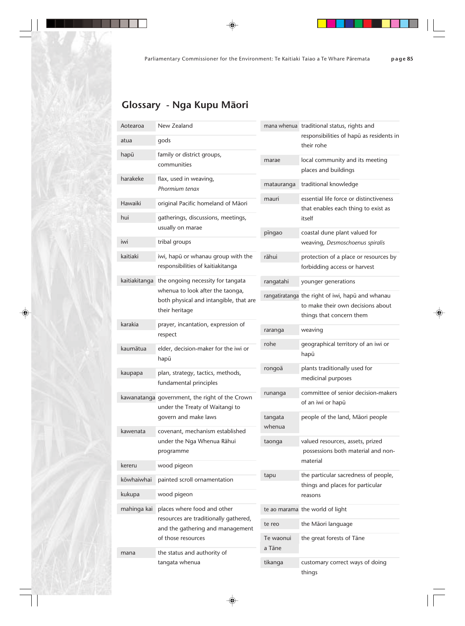# **Glossary - Nga Kupu Mäori**

| Aotearoa      | New Zealand                                                                |                   | mana whenua traditional status, rights and               |
|---------------|----------------------------------------------------------------------------|-------------------|----------------------------------------------------------|
| atua          | gods                                                                       |                   | responsibilities of hapū as residents in<br>their rohe   |
| hapū          | family or district groups,                                                 | marae             | local community and its meeting                          |
|               | communities                                                                |                   | places and buildings                                     |
| harakeke      | flax, used in weaving,                                                     | matauranga        | traditional knowledge                                    |
|               | Phormium tenax                                                             | mauri             | essential life force or distinctiveness                  |
| Hawaiki       | original Pacific homeland of Māori                                         |                   | that enables each thing to exist as<br>itself            |
| hui           | gatherings, discussions, meetings,                                         |                   |                                                          |
|               | usually on marae                                                           | pīngao            | coastal dune plant valued for                            |
| iwi           | tribal groups                                                              |                   | weaving, Desmoschoenus spiralis                          |
| kaitiaki      | iwi, hapū or whanau group with the                                         | rāhui             | protection of a place or resources by                    |
|               | responsibilities of kaitiakitanga                                          |                   | forbidding access or harvest                             |
| kaitiakitanga | the ongoing necessity for tangata                                          | rangatahi         | younger generations                                      |
|               | whenua to look after the taonga,<br>both physical and intangible, that are |                   | rangatiratanga the right of iwi, hapū and whanau         |
|               | their heritage                                                             |                   | to make their own decisions about                        |
| karakia       | prayer, incantation, expression of                                         |                   | things that concern them                                 |
|               | respect                                                                    | raranga           | weaving                                                  |
| kaumātua      | elder, decision-maker for the iwi or                                       | rohe              | geographical territory of an iwi or                      |
|               | hapū                                                                       |                   | hapū                                                     |
| kaupapa       | plan, strategy, tactics, methods,<br>fundamental principles                | rongoā            | plants traditionally used for<br>medicinal purposes      |
|               |                                                                            |                   |                                                          |
|               | kawanatanga government, the right of the Crown                             | runanga           | committee of senior decision-makers<br>of an iwi or hapū |
|               | under the Treaty of Waitangi to                                            |                   |                                                          |
|               | govern and make laws                                                       | tangata<br>whenua | people of the land, Māori people                         |
| kawenata      | covenant, mechanism established<br>under the Nga Whenua Rāhui              | taonga            | valued resources, assets, prized                         |
|               | programme                                                                  |                   | possessions both material and non-                       |
| kereru        | wood pigeon                                                                |                   | material                                                 |
| kōwhaiwhai    | painted scroll ornamentation                                               | tapu              | the particular sacredness of people,                     |
|               |                                                                            |                   | things and places for particular                         |
| kukupa        | wood pigeon                                                                |                   | reasons                                                  |
| mahinga kai   | places where food and other<br>resources are traditionally gathered,       |                   | te ao marama the world of light                          |
|               | and the gathering and management                                           | te reo            | the Māori language                                       |
|               | of those resources                                                         | Te waonui         | the great forests of Tāne                                |
| mana          | the status and authority of                                                | a Tāne            |                                                          |
|               | tangata whenua                                                             | tikanga           | customary correct ways of doing                          |
|               |                                                                            |                   | things                                                   |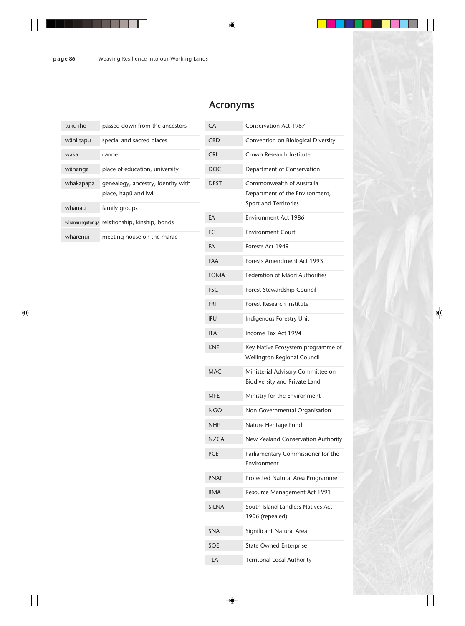## **Acronyms**

| tuku iho  | passed down from the ancestors                            |                          |
|-----------|-----------------------------------------------------------|--------------------------|
| wāhi tapu | special and sacred places                                 | (                        |
| waka      | canoe                                                     | $\overline{\phantom{a}}$ |
| wānanga   | place of education, university                            | I                        |
| whakapapa | genealogy, ancestry, identity with<br>place, hapū and iwi | I                        |
| whanau    | family groups                                             |                          |
|           | whanaungatanga relationship, kinship, bonds               | F                        |
| wharenui  | meeting house on the marae                                | ŀ                        |

| СA           | Conservation Act 1987                                              |  |
|--------------|--------------------------------------------------------------------|--|
| CBD          | Convention on Biological Diversity                                 |  |
| CRI          | Crown Research Institute                                           |  |
| <b>DOC</b>   | Department of Conservation                                         |  |
| <b>DEST</b>  | Commonwealth of Australia                                          |  |
|              | Department of the Environment,                                     |  |
|              | Sport and Territories                                              |  |
| ЕA           | Environment Act 1986                                               |  |
| EС           | <b>Environment Court</b>                                           |  |
| FA           | Forests Act 1949                                                   |  |
| FAA          | Forests Amendment Act 1993                                         |  |
| <b>FOMA</b>  | Federation of Māori Authorities                                    |  |
| FSC          | Forest Stewardship Council                                         |  |
| FRI          | Forest Research Institute                                          |  |
| ifu          | Indigenous Forestry Unit                                           |  |
| ITA          | Income Tax Act 1994                                                |  |
| KNE          | Key Native Ecosystem programme of<br>Wellington Regional Council   |  |
|              |                                                                    |  |
| MAC          | Ministerial Advisory Committee on<br>Biodiversity and Private Land |  |
| MFE          | Ministry for the Environment                                       |  |
| NGO          | Non Governmental Organisation                                      |  |
| NHF          | Nature Heritage Fund                                               |  |
| <b>NZCA</b>  | New Zealand Conservation Authority                                 |  |
| <b>PCE</b>   | Parliamentary Commissioner for the                                 |  |
|              | Environment                                                        |  |
| <b>PNAP</b>  | Protected Natural Area Programme                                   |  |
| RMA          | Resource Management Act 1991                                       |  |
| <b>SILNA</b> | South Island Landless Natives Act                                  |  |
|              | 1906 (repealed)                                                    |  |
| <b>SNA</b>   | Significant Natural Area                                           |  |
| SOE          | <b>State Owned Enterprise</b>                                      |  |
| <b>TLA</b>   | <b>Territorial Local Authority</b>                                 |  |
|              |                                                                    |  |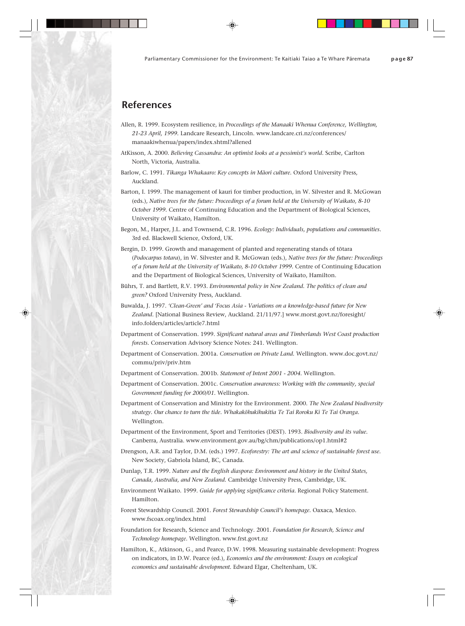## **References**

- Allen, R. 1999. Ecosystem resilience, in *Proceedings of the Manaaki Whenua Conference, Wellington, 21-23 April, 1999.* Landcare Research, Lincoln. www.landcare.cri.nz/conferences/ manaakiwhenua/papers/index.shtml?allened
- AtKisson, A. 2000. *Believing Cassandra: An optimist looks at a pessimist's world.* Scribe, Carlton North, Victoria, Australia.
- Barlow, C. 1991. *Tikanga Whakaaro: Key concepts in Mäori culture.* Oxford University Press, Auckland.
- Barton, I. 1999. The management of kauri for timber production, in W. Silvester and R. McGowan (eds.), *Native trees for the future: Proceedings of a forum held at the University of Waikato, 8-10 October 1999.* Centre of Continuing Education and the Department of Biological Sciences, University of Waikato, Hamilton.
- Begon, M., Harper, J.L. and Townsend, C.R. 1996. *Ecology: Individuals, populations and communities.* 3rd ed. Blackwell Science, Oxford, UK.
- Bergin, D. 1999. Growth and management of planted and regenerating stands of tötara (*Podocarpus totara*), in W. Silvester and R. McGowan (eds.), *Native trees for the future: Proceedings of a forum held at the University of Waikato, 8-10 October 1999.* Centre of Continuing Education and the Department of Biological Sciences, University of Waikato, Hamilton.
- Bührs, T. and Bartlett, R.V. 1993. *Environmental policy in New Zealand. The politics of clean and green?* Oxford University Press, Auckland.
- Buwalda, J. 1997. *'Clean-Green' and 'Focus Asia Variations on a knowledge-based future for New Zealand.* [National Business Review, Auckland. 21/11/97.] www.morst.govt.nz/foresight/ info.folders/articles/article7.html
- Department of Conservation. 1999. *Significant natural areas and Timberlands West Coast production forests.* Conservation Advisory Science Notes: 241. Wellington.
- Department of Conservation. 2001a. *Conservation on Private Land.* Wellington. www.doc.govt.nz/ commu/priv/priv.htm
- Department of Conservation. 2001b. *Statement of Intent 2001 2004.* Wellington.
- Department of Conservation. 2001c. *Conservation awareness: Working with the community, special Government funding for 2000/01.* Wellington.
- Department of Conservation and Ministry for the Environment. 2000. *The New Zealand biodiversity strategy. Our chance to turn the tide. Whakaköhukihukitia Te Tai Roroku Ki Te Tai Oranga.* Wellington.
- Department of the Environment, Sport and Territories (DEST). 1993. *Biodiversity and its value.* Canberra, Australia. www.environment.gov.au/bg/chm/publications/op1.html#2
- Drengson, A.R. and Taylor, D.M. (eds.) 1997. *Ecoforestry: The art and science of sustainable forest use.* New Society, Gabriola Island, BC, Canada.
- Dunlap, T.R. 1999. *Nature and the English diaspora: Environment and history in the United States, Canada, Australia, and New Zealand.* Cambridge University Press, Cambridge, UK.
- Environment Waikato. 1999. *Guide for applying significance criteria.* Regional Policy Statement. Hamilton.
- Forest Stewardship Council. 2001. *Forest Stewardship Council's homepage.* Oaxaca, Mexico. www.fscoax.org/index.html
- Foundation for Research, Science and Technology. 2001. *Foundation for Research, Science and Technology homepage*. Wellington. www.frst.govt.nz
- Hamilton, K., Atkinson, G., and Pearce, D.W. 1998. Measuring sustainable development: Progress on indicators, in D.W. Pearce (ed.), *Economics and the environment: Essays on ecological economics and sustainable development.* Edward Elgar, Cheltenham, UK.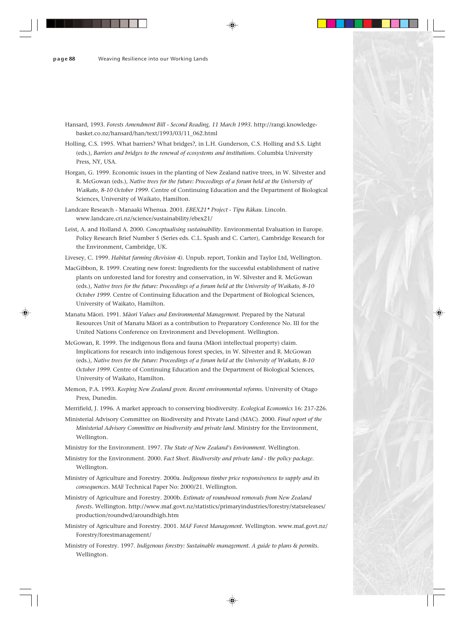- Hansard, 1993. *Forests Amendment Bill Second Reading, 11 March 1993.* http://rangi.knowledgebasket.co.nz/hansard/han/text/1993/03/11\_062.html
- Holling, C.S. 1995. What barriers? What bridges?, in L.H. Gunderson, C.S. Holling and S.S. Light (eds.), *Barriers and bridges to the renewal of ecosystems and institutions*. Columbia University Press, NY, USA.
- Horgan, G. 1999. Economic issues in the planting of New Zealand native trees, in W. Silvester and R. McGowan (eds.), *Native trees for the future: Proceedings of a forum held at the University of Waikato, 8-10 October 1999.* Centre of Continuing Education and the Department of Biological Sciences, University of Waikato, Hamilton.
- Landcare Research Manaaki Whenua. 2001. *EBEX21\* Project Tipu Räkau.* Lincoln. www.landcare.cri.nz/science/sustainability/ebex21/
- Leist, A. and Holland A. 2000. *Conceptualising sustainability.* Environmental Evaluation in Europe. Policy Research Brief Number 5 (Series eds. C.L. Spash and C. Carter), Cambridge Research for the Environment, Cambridge, UK.
- Livesey, C. 1999. *Habitat farming (Revision 4).* Unpub. report, Tonkin and Taylor Ltd, Wellington.
- MacGibbon, R. 1999. Creating new forest: Ingredients for the successful establishment of native plants on unforested land for forestry and conservation, in W. Silvester and R. McGowan (eds.), *Native trees for the future: Proceedings of a forum held at the University of Waikato, 8-10 October 1999.* Centre of Continuing Education and the Department of Biological Sciences, University of Waikato, Hamilton.
- Manatu Mäori. 1991. *Mäori Values and Environmental Management.* Prepared by the Natural Resources Unit of Manatu Mäori as a contribution to Preparatory Conference No. III for the United Nations Conference on Environment and Development. Wellington.
- McGowan, R. 1999. The indigenous flora and fauna (Mäori intellectual property) claim. Implications for research into indigenous forest species, in W. Silvester and R. McGowan (eds.), *Native trees for the future: Proceedings of a forum held at the University of Waikato, 8-10 October 1999.* Centre of Continuing Education and the Department of Biological Sciences, University of Waikato, Hamilton.
- Memon, P.A. 1993. *Keeping New Zealand green. Recent environmental reforms.* University of Otago Press, Dunedin.
- Merrifield, J. 1996. A market approach to conserving biodiversity. *Ecological Economics* 16: 217-226.
- Ministerial Advisory Committee on Biodiversity and Private Land (MAC). 2000. *Final report of the Ministerial Advisory Committee on biodiversity and private land.* Ministry for the Environment, Wellington.
- Ministry for the Environment. 1997. *The State of New Zealand's Environment.* Wellington.
- Ministry for the Environment. 2000. *Fact Sheet. Biodiversity and private land the policy package.* Wellington.
- Ministry of Agriculture and Forestry. 2000a. *Indigenous timber price responsiveness to supply and its consequences*. MAF Technical Paper No: 2000/21. Wellington.
- Ministry of Agriculture and Forestry. 2000b. *Estimate of roundwood removals from New Zealand forests.* Wellington. http://www.maf.govt.nz/statistics/primaryindustries/forestry/statsreleases/ production/roundwd/aroundhigh.htm
- Ministry of Agriculture and Forestry. 2001. *MAF Forest Management.* Wellington. www.maf.govt.nz/ Forestry/forestmanagement/
- Ministry of Forestry. 1997. *Indigenous forestry: Sustainable management. A guide to plans & permits.* Wellington.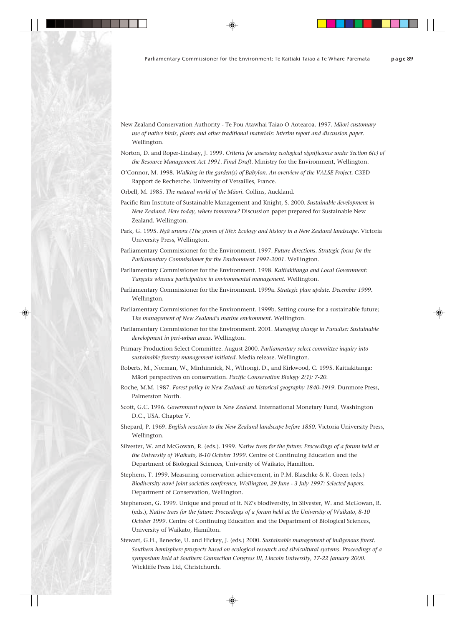- New Zealand Conservation Authority Te Pou Atawhai Taiao O Aotearoa. 1997. *Mäori customary use of native birds, plants and other traditional materials: Interim report and discussion paper.* Wellington.
- Norton, D. and Roper-Lindsay, J. 1999. *Criteria for assessing ecological significance under Section 6(c) of the Resource Management Act 1991. Final Draft.* Ministry for the Environment, Wellington.
- O'Connor, M. 1998. *Walking in the garden(s) of Babylon. An overview of the VALSE Project.* C3ED Rapport de Recherche. University of Versailles, France.
- Orbell, M. 1985. *The natural world of the Mäori.* Collins, Auckland.
- Pacific Rim Institute of Sustainable Management and Knight, S. 2000. *Sustainable development in New Zealand: Here today, where tomorrow?* Discussion paper prepared for Sustainable New Zealand. Wellington.
- Park, G. 1995. *Ngä uruora (The groves of life): Ecology and history in a New Zealand landscape.* Victoria University Press, Wellington.
- Parliamentary Commissioner for the Environment. 1997. *Future directions. Strategic focus for the Parliamentary Commissioner for the Environment 1997-2001.* Wellington.
- Parliamentary Commissioner for the Environment. 1998. *Kaitiakitanga and Local Government: Tangata whenua participation in environmental management.* Wellington.
- Parliamentary Commissioner for the Environment. 1999a. *Strategic plan update. December 1999.* Wellington.
- Parliamentary Commissioner for the Environment. 1999b. Setting course for a sustainable future; T*he management of New Zealand's marine environment.* Wellington.
- Parliamentary Commissioner for the Environment. 2001. *Managing change in Paradise: Sustainable development in peri-urban areas.* Wellington.
- Primary Production Select Committee. August 2000. *Parliamentary select committee inquiry into sustainable forestry management initiated.* Media release. Wellington.
- Roberts, M., Norman, W., Minhinnick, N., Wihongi, D., and Kirkwood, C. 1995. Kaitiakitanga: Mäori perspectives on conservation. *Pacific Conservation Biology 2(1): 7-20.*
- Roche, M.M. 1987. *Forest policy in New Zealand: an historical geography 1840-1919.* Dunmore Press, Palmerston North.
- Scott, G.C. 1996. *Government reform in New Zealand.* International Monetary Fund, Washington D.C., USA. Chapter V.
- Shepard, P. 1969. *English reaction to the New Zealand landscape before 1850.* Victoria University Press, Wellington.
- Silvester, W. and McGowan, R. (eds.). 1999. *Native trees for the future: Proceedings of a forum held at the University of Waikato, 8-10 October 1999.* Centre of Continuing Education and the Department of Biological Sciences, University of Waikato, Hamilton.
- Stephens, T. 1999. Measuring conservation achievement, in P.M. Blaschke & K. Green (eds.) *Biodiversity now! Joint societies conference, Wellington, 29 June - 3 July 1997: Selected papers.* Department of Conservation, Wellington.
- Stephenson, G. 1999. Unique and proud of it. NZ's biodiversity, in Silvester, W. and McGowan, R. (eds.), *Native trees for the future: Proceedings of a forum held at the University of Waikato, 8-10 October 1999.* Centre of Continuing Education and the Department of Biological Sciences, University of Waikato, Hamilton.
- Stewart, G.H., Benecke, U. and Hickey, J. (eds.) 2000. *Sustainable management of indigenous forest. Southern hemisphere prospects based on ecological research and silvicultural systems. Proceedings of a symposium held at Southern Connection Congress III, Lincoln University, 17-22 January 2000.* Wickliffe Press Ltd, Christchurch.